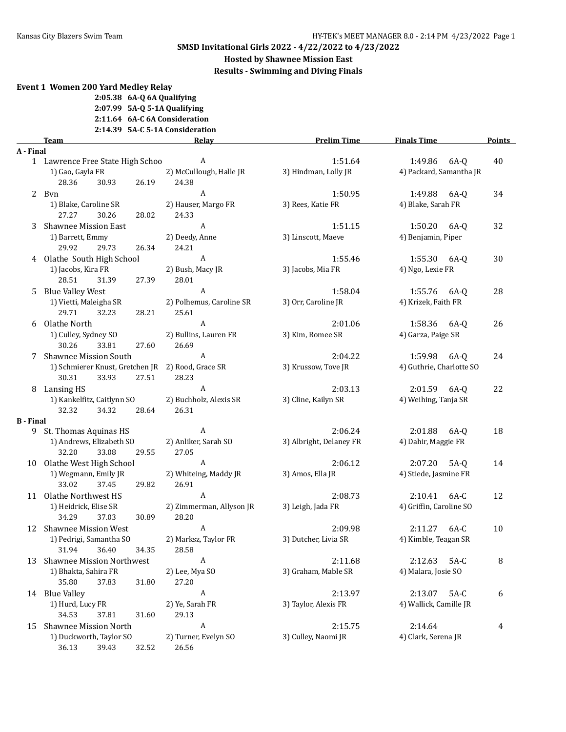### **Hosted by Shawnee Mission East**

|           | Event 1 Women 200 Yard Medley Relay                                          |                                                                  |                         |                          |               |
|-----------|------------------------------------------------------------------------------|------------------------------------------------------------------|-------------------------|--------------------------|---------------|
|           | 2:05.38 6A-Q 6A Qualifying                                                   |                                                                  |                         |                          |               |
|           |                                                                              | 2:07.99 5A-Q 5-1A Qualifying                                     |                         |                          |               |
|           |                                                                              | 2:11.64 6A-C 6A Consideration<br>2:14.39 5A-C 5-1A Consideration |                         |                          |               |
|           | Team                                                                         | Relay                                                            | <b>Prelim Time</b>      | <b>Finals Time</b>       | <b>Points</b> |
| A - Final |                                                                              |                                                                  |                         |                          |               |
|           | 1 Lawrence Free State High Schoo                                             | A                                                                | 1:51.64                 | 1:49.86<br>$6A-Q$        | 40            |
|           | 1) Gao, Gayla FR<br>28.36<br>30.93<br>26.19                                  | 2) McCullough, Halle JR<br>24.38                                 | 3) Hindman, Lolly JR    | 4) Packard, Samantha JR  |               |
|           | 2 Byn                                                                        | A                                                                | 1:50.95                 | 1:49.88<br>6A-0          | 34            |
|           | 1) Blake, Caroline SR<br>27.27<br>30.26<br>28.02                             | 2) Hauser, Margo FR<br>24.33                                     | 3) Rees, Katie FR       | 4) Blake, Sarah FR       |               |
| 3         | <b>Shawnee Mission East</b>                                                  | A                                                                | 1:51.15                 | 1:50.20<br>6A-0          | 32            |
|           | 1) Barrett, Emmy                                                             | 2) Deedy, Anne                                                   | 3) Linscott, Maeve      | 4) Benjamin, Piper       |               |
|           | 29.92<br>29.73<br>26.34                                                      | 24.21                                                            |                         |                          |               |
| 4         | Olathe South High School                                                     | A                                                                | 1:55.46                 | 1:55.30<br>6A-0          | 30            |
|           | 1) Jacobs, Kira FR                                                           | 2) Bush, Macy JR                                                 | 3) Jacobs, Mia FR       | 4) Ngo, Lexie FR         |               |
|           | 28.51<br>31.39<br>27.39                                                      | 28.01                                                            |                         |                          |               |
| 5.        | <b>Blue Valley West</b>                                                      | A                                                                | 1:58.04                 | 1:55.76<br>6A-Q          | 28            |
|           | 1) Vietti, Maleigha SR<br>29.71<br>32.23<br>28.21                            | 2) Polhemus, Caroline SR<br>25.61                                | 3) Orr, Caroline JR     | 4) Krizek, Faith FR      |               |
| 6         | Olathe North                                                                 | A                                                                | 2:01.06                 | 1:58.36 6A-Q             | 26            |
|           | 1) Culley, Sydney SO<br>30.26<br>33.81<br>27.60                              | 2) Bullins, Lauren FR<br>26.69                                   | 3) Kim, Romee SR        | 4) Garza, Paige SR       |               |
| 7         | <b>Shawnee Mission South</b>                                                 | A                                                                | 2:04.22                 | 1:59.98<br>6A-0          | 24            |
|           | 1) Schmierer Knust, Gretchen JR 2) Rood, Grace SR<br>30.31<br>33.93<br>27.51 | 28.23                                                            | 3) Krussow, Tove JR     | 4) Guthrie, Charlotte SO |               |
| 8         | Lansing HS                                                                   | A                                                                | 2:03.13                 | 2:01.59<br>6A-0          | 22            |
|           | 1) Kankelfitz, Caitlynn SO                                                   | 2) Buchholz, Alexis SR                                           | 3) Cline, Kailyn SR     | 4) Weihing, Tanja SR     |               |
|           | 32.32<br>34.32<br>28.64                                                      | 26.31                                                            |                         |                          |               |
| B - Final |                                                                              |                                                                  |                         |                          |               |
| 9         | St. Thomas Aquinas HS                                                        | A                                                                | 2:06.24                 | 2:01.88<br>6A-0          | 18            |
|           | 1) Andrews, Elizabeth SO<br>32.20<br>33.08<br>29.55                          | 2) Anliker, Sarah SO<br>27.05                                    | 3) Albright, Delaney FR | 4) Dahir, Maggie FR      |               |
| 10        | Olathe West High School                                                      | $\boldsymbol{A}$                                                 | 2:06.12                 | 2:07.20<br>5A-0          | 14            |
|           | 1) Wegmann, Emily JR<br>33.02<br>37.45<br>29.82                              | 2) Whiteing, Maddy JR<br>26.91                                   | 3) Amos, Ella JR        | 4) Stiede, Jasmine FR    |               |
|           | 11 Olathe Northwest HS                                                       | Δ                                                                | 2:08.73                 | 2:10.41 6A-C             | 12            |
|           | 1) Heidrick, Elise SR<br>34.29<br>37.03<br>30.89                             | 2) Zimmerman, Allyson JR<br>28.20                                | 3) Leigh, Jada FR       | 4) Griffin, Caroline SO  |               |
| 12        | <b>Shawnee Mission West</b>                                                  | A                                                                | 2:09.98                 | 6A-C<br>2:11.27          | 10            |
|           | 1) Pedrigi, Samantha SO<br>31.94<br>36.40<br>34.35                           | 2) Marksz, Taylor FR<br>28.58                                    | 3) Dutcher, Livia SR    | 4) Kimble, Teagan SR     |               |
| 13        | <b>Shawnee Mission Northwest</b>                                             | A                                                                | 2:11.68                 | 2:12.63<br>5A-C          | 8             |
|           | 1) Bhakta, Sahira FR<br>35.80<br>37.83<br>31.80                              | 2) Lee, Mya SO<br>27.20                                          | 3) Graham, Mable SR     | 4) Malara, Josie SO      |               |
|           | 14 Blue Valley                                                               | A                                                                | 2:13.97                 | $5A-C$<br>2:13.07        | 6             |
|           | 1) Hurd, Lucy FR<br>34.53<br>37.81<br>31.60                                  | 2) Ye, Sarah FR<br>29.13                                         | 3) Taylor, Alexis FR    | 4) Wallick, Camille JR   |               |
| 15        | Shawnee Mission North                                                        | A                                                                | 2:15.75                 | 2:14.64                  | 4             |
|           | 1) Duckworth, Taylor SO                                                      | 2) Turner, Evelyn SO                                             | 3) Culley, Naomi JR     | 4) Clark, Serena JR      |               |
|           | 36.13<br>39.43<br>32.52                                                      | 26.56                                                            |                         |                          |               |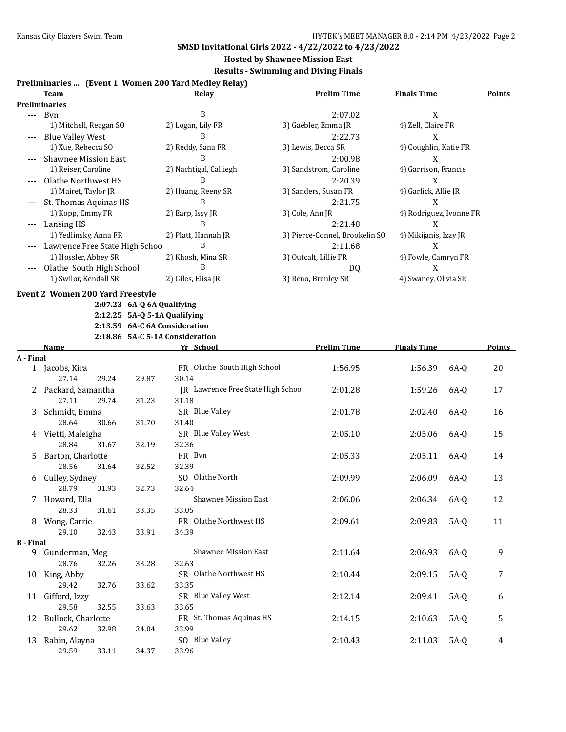### **Hosted by Shawnee Mission East**

### **Results - Swimming and Diving Finals**

### **Preliminaries ... (Event 1 Women 200 Yard Medley Relay)**

|           | Team                                    |       |                                 |                     | <b>Relay</b>                      | <b>Prelim Time</b>             | <b>Finals Time</b>      |        | <b>Points</b> |
|-----------|-----------------------------------------|-------|---------------------------------|---------------------|-----------------------------------|--------------------------------|-------------------------|--------|---------------|
|           | <b>Preliminaries</b>                    |       |                                 |                     |                                   |                                |                         |        |               |
|           | --- Byn                                 |       |                                 |                     | B                                 | 2:07.02                        | X                       |        |               |
|           | 1) Mitchell, Reagan SO                  |       |                                 | 2) Logan, Lily FR   |                                   | 3) Gaebler, Emma JR            | 4) Zell, Claire FR      |        |               |
|           | <b>Blue Valley West</b>                 |       |                                 |                     | B                                 | 2:22.73                        | X                       |        |               |
|           | 1) Xue, Rebecca SO                      |       |                                 | 2) Reddy, Sana FR   |                                   | 3) Lewis, Becca SR             | 4) Coughlin, Katie FR   |        |               |
|           | <b>Shawnee Mission East</b>             |       |                                 |                     | B                                 | 2:00.98                        | X                       |        |               |
|           | 1) Reiser, Caroline                     |       |                                 |                     | 2) Nachtigal, Calliegh            | 3) Sandstrom, Caroline         | 4) Garrison, Francie    |        |               |
|           | Olathe Northwest HS                     |       |                                 |                     | B                                 | 2:20.39                        | X                       |        |               |
|           | 1) Mairet, Taylor JR                    |       |                                 | 2) Huang, Reeny SR  |                                   | 3) Sanders, Susan FR           | 4) Garlick, Allie JR    |        |               |
|           | St. Thomas Aquinas HS                   |       |                                 |                     | B                                 | 2:21.75                        | X                       |        |               |
|           | 1) Kopp, Emmy FR                        |       |                                 | 2) Earp, Issy JR    |                                   | 3) Cole, Ann JR                | 4) Rodriguez, Ivonne FR |        |               |
| $--$      | Lansing HS                              |       |                                 |                     | B                                 | 2:21.48                        | X                       |        |               |
|           | 1) Yedlinsky, Anna FR                   |       |                                 | 2) Platt, Hannah JR |                                   | 3) Pierce-Connel, Brookelin SO | 4) Mikijanis, Izzy JR   |        |               |
|           | Lawrence Free State High Schoo          |       |                                 |                     | B                                 | 2:11.68                        | X                       |        |               |
|           | 1) Hossler, Abbey SR                    |       |                                 | 2) Khosh, Mina SR   |                                   | 3) Outcalt, Lillie FR          | 4) Fowle, Camryn FR     |        |               |
|           | Olathe South High School                |       |                                 |                     | B                                 | DQ                             | X                       |        |               |
|           | 1) Swilor, Kendall SR                   |       |                                 | 2) Giles, Elisa JR  |                                   | 3) Reno, Brenley SR            | 4) Swaney, Olivia SR    |        |               |
|           |                                         |       |                                 |                     |                                   |                                |                         |        |               |
|           | <b>Event 2 Women 200 Yard Freestyle</b> |       |                                 |                     |                                   |                                |                         |        |               |
|           |                                         |       | 2:07.23 6A-Q 6A Qualifying      |                     |                                   |                                |                         |        |               |
|           |                                         |       | 2:12.25 5A-Q 5-1A Qualifying    |                     |                                   |                                |                         |        |               |
|           |                                         |       | 2:13.59 6A-C 6A Consideration   |                     |                                   |                                |                         |        |               |
|           | <b>Name</b>                             |       | 2:18.86 5A-C 5-1A Consideration | Yr School           |                                   | <b>Prelim Time</b>             | <b>Finals Time</b>      |        | <b>Points</b> |
| A - Final |                                         |       |                                 |                     |                                   |                                |                         |        |               |
|           | 1 Jacobs, Kira                          |       |                                 |                     | FR Olathe South High School       | 1:56.95                        | 1:56.39                 | $6A-Q$ | 20            |
|           | 27.14                                   | 29.24 | 29.87                           | 30.14               |                                   |                                |                         |        |               |
|           | 2 Packard, Samantha                     |       |                                 |                     | JR Lawrence Free State High Schoo | 2:01.28                        | 1:59.26                 | $6A-Q$ | 17            |
|           | 27.11                                   | 29.74 | 31.23                           | 31.18               |                                   |                                |                         |        |               |
| 3         | Schmidt, Emma                           |       |                                 |                     | SR Blue Valley                    | 2:01.78                        | 2:02.40                 | 6A-Q   | 16            |
|           | 28.64                                   | 30.66 | 31.70                           | 31.40               |                                   |                                |                         |        |               |
|           | 4 Vietti, Maleigha                      |       |                                 |                     | SR Blue Valley West               | 2:05.10                        | 2:05.06                 | $6A-Q$ | 15            |
|           | 28.84                                   | 31.67 | 32.19                           | 32.36               |                                   |                                |                         |        |               |
| 5.        | Barton, Charlotte                       |       |                                 | FR Bvn              |                                   | 2:05.33                        | 2:05.11                 | $6A-Q$ | 14            |
|           | 28.56                                   | 31.64 | 32.52                           | 32.39               |                                   |                                |                         |        |               |
|           | Culley, Sydney                          |       |                                 |                     | SO Olathe North                   | 2:09.99                        | 2:06.09                 |        | 13            |
| 6         | 28.79                                   | 31.93 | 32.73                           | 32.64               |                                   |                                |                         | $6A-Q$ |               |
| 7         | Howard, Ella                            |       |                                 |                     | <b>Shawnee Mission East</b>       |                                |                         |        | 12            |
|           | 28.33                                   | 31.61 | 33.35                           | 33.05               |                                   | 2:06.06                        | 2:06.34                 | $6A-Q$ |               |
|           | 8 Wong, Carrie                          |       |                                 |                     | FR Olathe Northwest HS            | 2:09.61                        | 2:09.83                 | $5A-Q$ | 11            |
|           | 29.10                                   | 32.43 | 33.91                           | 34.39               |                                   |                                |                         |        |               |
| B - Final |                                         |       |                                 |                     |                                   |                                |                         |        |               |
|           | 9 Gunderman, Meg                        |       |                                 |                     | Shawnee Mission East              | 2:11.64                        | 2:06.93                 | 6A-Q   | 9             |
|           | 28.76                                   | 32.26 | 33.28                           | 32.63               |                                   |                                |                         |        |               |
|           | 10 King, Abby                           |       |                                 |                     | SR Olathe Northwest HS            | 2:10.44                        | 2:09.15                 | $5A-Q$ | 7             |
|           | 29.42                                   | 32.76 | 33.62                           | 33.35               |                                   |                                |                         |        |               |
|           | 11 Gifford, Izzy                        |       |                                 |                     | SR Blue Valley West               | 2:12.14                        | 2:09.41                 | $5A-Q$ |               |
|           | 29.58                                   | 32.55 | 33.63                           | 33.65               |                                   |                                |                         |        | 6             |
|           | 12 Bullock, Charlotte                   |       |                                 |                     | FR St. Thomas Aquinas HS          | 2:14.15                        | 2:10.63                 |        |               |
|           | 29.62                                   | 32.98 | 34.04                           | 33.99               |                                   |                                |                         | $5A-Q$ | 5             |
|           | 13 Rabin, Alayna                        |       |                                 |                     | SO Blue Valley                    | 2:10.43                        | 2:11.03                 | $5A-Q$ | 4             |
|           | 29.59                                   | 33.11 | 34.37                           | 33.96               |                                   |                                |                         |        |               |
|           |                                         |       |                                 |                     |                                   |                                |                         |        |               |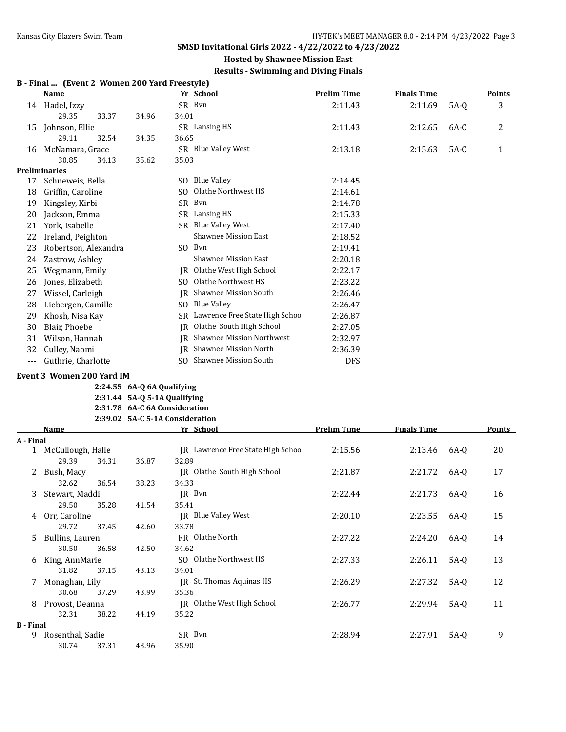### **Hosted by Shawnee Mission East Results - Swimming and Diving Finals**

# **B - Final ... (Event 2 Women 200 Yard Freestyle)**

|       | Name                             |       |       |       | Yr School                        | Prelim Time | <b>Finals Time</b> |        | <b>Points</b> |
|-------|----------------------------------|-------|-------|-------|----------------------------------|-------------|--------------------|--------|---------------|
| 14    | Hadel, Izzy                      |       |       |       | SR Byn                           | 2:11.43     | 2:11.69            | 5A-0   | 3             |
|       | 29.35                            | 33.37 | 34.96 | 34.01 |                                  |             |                    |        |               |
| 15    | Johnson, Ellie                   |       |       |       | SR Lansing HS                    | 2:11.43     | 2:12.65            | 6A-C   | 2             |
|       | 29.11                            | 32.54 | 34.35 | 36.65 |                                  |             |                    |        |               |
| 16    | McNamara, Grace                  |       |       |       | SR Blue Valley West              | 2:13.18     | 2:15.63            | $5A-C$ | $\mathbf{1}$  |
|       | 30.85                            | 34.13 | 35.62 | 35.03 |                                  |             |                    |        |               |
|       | <b>Preliminaries</b>             |       |       |       |                                  |             |                    |        |               |
| 17    | Schneweis, Bella                 |       |       | SO.   | Blue Valley                      | 2:14.45     |                    |        |               |
| 18    | Griffin, Caroline                |       |       | SO.   | Olathe Northwest HS              | 2:14.61     |                    |        |               |
| 19    | Kingsley, Kirbi                  |       |       | SR.   | Bvn                              | 2:14.78     |                    |        |               |
| 20    | Jackson, Emma                    |       |       | SR    | Lansing HS                       | 2:15.33     |                    |        |               |
| 21    | York, Isabelle                   |       |       | SR    | <b>Blue Valley West</b>          | 2:17.40     |                    |        |               |
| 22    | Ireland, Peighton                |       |       |       | <b>Shawnee Mission East</b>      | 2:18.52     |                    |        |               |
| 23    | Robertson, Alexandra             |       |       | SO.   | Bvn                              | 2:19.41     |                    |        |               |
| 24    | Zastrow, Ashley                  |       |       |       | <b>Shawnee Mission East</b>      | 2:20.18     |                    |        |               |
| 25    | Wegmann, Emily                   |       |       | IR    | Olathe West High School          | 2:22.17     |                    |        |               |
| 26    | Jones, Elizabeth                 |       |       | SO.   | Olathe Northwest HS              | 2:23.22     |                    |        |               |
| 27    | Wissel, Carleigh                 |       |       | IR    | Shawnee Mission South            | 2:26.46     |                    |        |               |
| 28    | Liebergen, Camille               |       |       | SO.   | <b>Blue Valley</b>               | 2:26.47     |                    |        |               |
| 29    | Khosh, Nisa Kay                  |       |       | SR    | Lawrence Free State High Schoo   | 2:26.87     |                    |        |               |
| 30    | Blair, Phoebe                    |       |       | IR    | Olathe South High School         | 2:27.05     |                    |        |               |
| 31    | Wilson, Hannah                   |       |       | IR    | <b>Shawnee Mission Northwest</b> | 2:32.97     |                    |        |               |
| 32    | Culley, Naomi                    |       |       | IR    | <b>Shawnee Mission North</b>     | 2:36.39     |                    |        |               |
| $---$ | Guthrie, Charlotte               |       |       | SO.   | <b>Shawnee Mission South</b>     | <b>DFS</b>  |                    |        |               |
|       | <b>Event 3 Women 200 Yard IM</b> |       |       |       |                                  |             |                    |        |               |

### **2:24.55 6A-Q 6A Qualifying**

**2:31.44 5A-Q 5-1A Qualifying**

**2:31.78 6A-C 6A Consideration 2:39.02 5A-C 5-1A Consideration**

|                  | <b>Name</b>       |       |       | Yr School                         | <b>Prelim Time</b> | <b>Finals Time</b> |        | Points |
|------------------|-------------------|-------|-------|-----------------------------------|--------------------|--------------------|--------|--------|
| A - Final        |                   |       |       |                                   |                    |                    |        |        |
| $\mathbf{1}$     | McCullough, Halle |       |       | JR Lawrence Free State High Schoo | 2:15.56            | 2:13.46            | 6A-0   | 20     |
|                  | 29.39             | 34.31 | 36.87 | 32.89                             |                    |                    |        |        |
| 2                | Bush, Macy        |       |       | IR Olathe South High School       | 2:21.87            | 2:21.72            | 6A-0   | 17     |
|                  | 32.62             | 36.54 | 38.23 | 34.33                             |                    |                    |        |        |
| 3                | Stewart, Maddi    |       |       | JR Byn                            | 2:22.44            | 2:21.73            | 6A-Q   | 16     |
|                  | 29.50             | 35.28 | 41.54 | 35.41                             |                    |                    |        |        |
| 4                | Orr, Caroline     |       |       | IR Blue Valley West               | 2:20.10            | 2:23.55            | 6A-0   | 15     |
|                  | 29.72             | 37.45 | 42.60 | 33.78                             |                    |                    |        |        |
| 5.               | Bullins, Lauren   |       |       | FR Olathe North                   | 2:27.22            | 2:24.20            | 6A-0   | 14     |
|                  | 30.50             | 36.58 | 42.50 | 34.62                             |                    |                    |        |        |
| 6                | King, AnnMarie    |       |       | SO Olathe Northwest HS            | 2:27.33            | 2:26.11            | 5A-0   | 13     |
|                  | 31.82             | 37.15 | 43.13 | 34.01                             |                    |                    |        |        |
|                  | Monaghan, Lily    |       |       | JR St. Thomas Aquinas HS          | 2:26.29            | 2:27.32            | 5A-0   | 12     |
|                  | 30.68             | 37.29 | 43.99 | 35.36                             |                    |                    |        |        |
| 8                | Provost, Deanna   |       |       | IR Olathe West High School        | 2:26.77            | 2:29.94            | 5A-Q   | 11     |
|                  | 32.31             | 38.22 | 44.19 | 35.22                             |                    |                    |        |        |
| <b>B</b> - Final |                   |       |       |                                   |                    |                    |        |        |
| 9                | Rosenthal, Sadie  |       |       | SR Bvn                            | 2:28.94            | 2:27.91            | $5A-Q$ | 9      |
|                  | 30.74             | 37.31 | 43.96 | 35.90                             |                    |                    |        |        |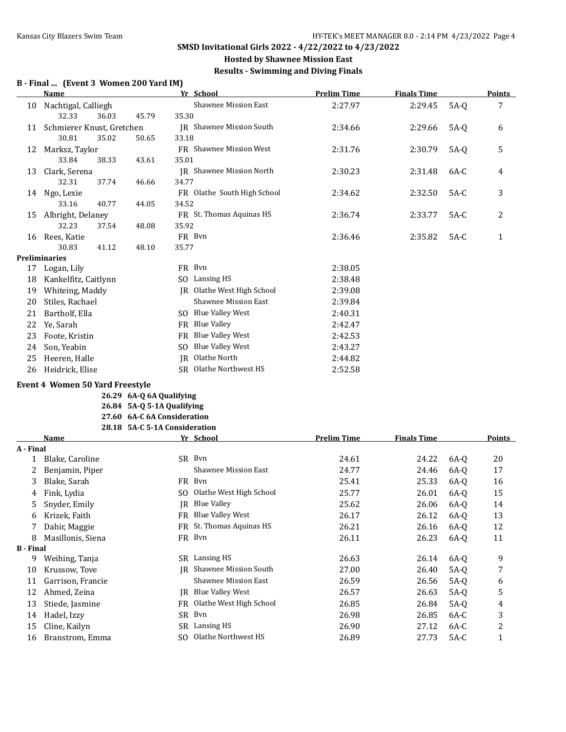### **Hosted by Shawnee Mission East Results - Swimming and Diving Finals**

#### **B - Final ... (Event 3 Women 200 Yard IM)**

|    | Name                      |       |       | Yr School                            | <b>Prelim Time</b> | <b>Finals Time</b> |        | <b>Points</b> |
|----|---------------------------|-------|-------|--------------------------------------|--------------------|--------------------|--------|---------------|
| 10 | Nachtigal, Calliegh       |       |       | <b>Shawnee Mission East</b>          | 2:27.97            | 2:29.45            | $5A-0$ | 7             |
|    | 32.33                     | 36.03 | 45.79 | 35.30                                |                    |                    |        |               |
| 11 | Schmierer Knust, Gretchen |       |       | <b>IR</b> Shawnee Mission South      | 2:34.66            | 2:29.66            | 5A-0   | 6             |
|    | 30.81                     | 35.02 | 50.65 | 33.18                                |                    |                    |        |               |
| 12 | Marksz, Taylor            |       |       | FR Shawnee Mission West              | 2:31.76            | 2:30.79            | 5A-0   | 5             |
|    | 33.84                     | 38.33 | 43.61 | 35.01                                |                    |                    |        |               |
| 13 | Clark, Serena             |       |       | <b>IR</b> Shawnee Mission North      | 2:30.23            | 2:31.48            | $6A-C$ | 4             |
|    | 32.31                     | 37.74 | 46.66 | 34.77                                |                    |                    |        |               |
| 14 | Ngo, Lexie                |       |       | FR Olathe South High School          | 2:34.62            | 2:32.50            | $5A-C$ | 3             |
|    | 33.16                     | 40.77 | 44.05 | 34.52                                |                    |                    |        |               |
| 15 | Albright, Delaney         |       |       | FR St. Thomas Aquinas HS             | 2:36.74            | 2:33.77            | $5A-C$ | 2             |
|    | 32.23                     | 37.54 | 48.08 | 35.92                                |                    |                    |        |               |
| 16 | Rees, Katie               |       |       | FR Bvn                               | 2:36.46            | 2:35.82            | $5A-C$ | $\mathbf{1}$  |
|    | 30.83                     | 41.12 | 48.10 | 35.77                                |                    |                    |        |               |
|    | Preliminaries             |       |       |                                      |                    |                    |        |               |
| 17 | Logan, Lily               |       |       | FR Bvn                               | 2:38.05            |                    |        |               |
| 18 | Kankelfitz, Caitlynn      |       |       | Lansing HS<br>SO.                    | 2:38.48            |                    |        |               |
| 19 | Whiteing, Maddy           |       |       | Olathe West High School<br>IR        | 2:39.08            |                    |        |               |
| 20 | Stiles, Rachael           |       |       | <b>Shawnee Mission East</b>          | 2:39.84            |                    |        |               |
| 21 | Bartholf, Ella            |       |       | <b>Blue Valley West</b><br>SO.       | 2:40.31            |                    |        |               |
| 22 | Ye, Sarah                 |       |       | <b>Blue Valley</b><br><b>FR</b>      | 2:42.47            |                    |        |               |
| 23 | Foote, Kristin            |       |       | <b>Blue Valley West</b><br><b>FR</b> | 2:42.53            |                    |        |               |
| 24 | Son, Yeabin               |       |       | <b>Blue Valley West</b><br>SO.       | 2:43.27            |                    |        |               |
| 25 | Heeren, Halle             |       |       | Olathe North<br>IR                   | 2:44.82            |                    |        |               |
| 26 | Heidrick, Elise           |       |       | Olathe Northwest HS<br>SR            | 2:52.58            |                    |        |               |
|    |                           |       |       |                                      |                    |                    |        |               |

#### **Event 4 Women 50 Yard Freestyle**

**26.29 6A-Q 6A Qualifying**

**26.84 5A-Q 5-1A Qualifying**

### **27.60 6A-C 6A Consideration 28.18 5A-C 5-1A Consideration**

|                  | Name              |           | Yr School                    | <b>Prelim Time</b> | <b>Finals Time</b> |        | <b>Points</b> |
|------------------|-------------------|-----------|------------------------------|--------------------|--------------------|--------|---------------|
| A - Final        |                   |           |                              |                    |                    |        |               |
|                  | Blake, Caroline   | SR.       | Bvn                          | 24.61              | 24.22              | 6A-0   | 20            |
| 2                | Benjamin, Piper   |           | Shawnee Mission East         | 24.77              | 24.46              | 6A-0   | 17            |
| 3                | Blake, Sarah      | FR        | Bvn                          | 25.41              | 25.33              | 6A-0   | 16            |
| 4                | Fink, Lydia       | SO.       | Olathe West High School      | 25.77              | 26.01              | 6A-0   | 15            |
| 5                | Snyder, Emily     | IR        | Blue Valley                  | 25.62              | 26.06              | 6A-0   | 14            |
| 6                | Krizek, Faith     | FR        | <b>Blue Valley West</b>      | 26.17              | 26.12              | 6A-0   | 13            |
|                  | Dahir, Maggie     | FR        | St. Thomas Aquinas HS        | 26.21              | 26.16              | 6A-0   | 12            |
| 8                | Masillonis, Siena | FR        | Bvn                          | 26.11              | 26.23              | 6A-0   | 11            |
| <b>B</b> - Final |                   |           |                              |                    |                    |        |               |
| 9                | Weihing, Tanja    | SR        | Lansing HS                   | 26.63              | 26.14              | 6A-0   | 9             |
| 10               | Krussow, Tove     | IR        | <b>Shawnee Mission South</b> | 27.00              | 26.40              | 5A-0   | 7             |
| 11               | Garrison, Francie |           | Shawnee Mission East         | 26.59              | 26.56              | 5A-0   | 6             |
| 12               | Ahmed, Zeina      | IR        | <b>Blue Valley West</b>      | 26.57              | 26.63              | 5A-0   | 5             |
| 13               | Stiede, Jasmine   | FR        | Olathe West High School      | 26.85              | 26.84              | 5A-0   | 4             |
| 14               | Hadel, Izzy       | <b>SR</b> | Bvn                          | 26.98              | 26.85              | 6A-C   | 3             |
| 15               | Cline, Kailyn     | SR        | Lansing HS                   | 26.90              | 27.12              | $6A-C$ | 2             |
| 16               | Branstrom, Emma   | SO.       | Olathe Northwest HS          | 26.89              | 27.73              | 5A-C   |               |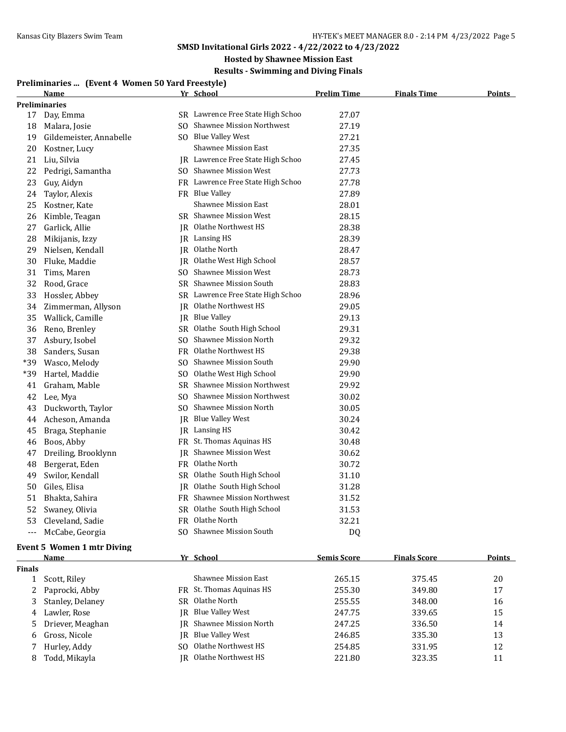# **Hosted by Shawnee Mission East**

|               | <b>Name</b>                       |                | Yr School                         | <b>Prelim Time</b> | <b>Finals Time</b>  | <b>Points</b> |
|---------------|-----------------------------------|----------------|-----------------------------------|--------------------|---------------------|---------------|
|               | <b>Preliminaries</b>              |                |                                   |                    |                     |               |
| 17            | Day, Emma                         |                | SR Lawrence Free State High Schoo | 27.07              |                     |               |
| 18            | Malara, Josie                     | SO.            | <b>Shawnee Mission Northwest</b>  | 27.19              |                     |               |
| 19            | Gildemeister, Annabelle           | SO.            | <b>Blue Valley West</b>           | 27.21              |                     |               |
| 20            | Kostner, Lucy                     |                | Shawnee Mission East              | 27.35              |                     |               |
| 21            | Liu, Silvia                       | IR             | Lawrence Free State High Schoo    | 27.45              |                     |               |
| 22            | Pedrigi, Samantha                 |                | SO Shawnee Mission West           | 27.73              |                     |               |
| 23            | Guy, Aidyn                        |                | FR Lawrence Free State High Schoo | 27.78              |                     |               |
| 24            | Taylor, Alexis                    | FR             | <b>Blue Valley</b>                | 27.89              |                     |               |
| 25            | Kostner, Kate                     |                | <b>Shawnee Mission East</b>       | 28.01              |                     |               |
| 26            | Kimble, Teagan                    | SR             | <b>Shawnee Mission West</b>       | 28.15              |                     |               |
| 27            | Garlick, Allie                    |                | JR Olathe Northwest HS            | 28.38              |                     |               |
| 28            | Mikijanis, Izzy                   | IR             | Lansing HS                        | 28.39              |                     |               |
| 29            | Nielsen, Kendall                  | IR             | Olathe North                      | 28.47              |                     |               |
| 30            | Fluke, Maddie                     | IR             | Olathe West High School           | 28.57              |                     |               |
| 31            | Tims, Maren                       | SO.            | <b>Shawnee Mission West</b>       | 28.73              |                     |               |
| 32            | Rood, Grace                       | SR             | Shawnee Mission South             | 28.83              |                     |               |
| 33            | Hossler, Abbey                    |                | SR Lawrence Free State High Schoo | 28.96              |                     |               |
| 34            | Zimmerman, Allyson                | IR             | Olathe Northwest HS               | 29.05              |                     |               |
| 35            | Wallick, Camille                  | JR             | <b>Blue Valley</b>                | 29.13              |                     |               |
| 36            | Reno, Brenley                     | SR             | Olathe South High School          | 29.31              |                     |               |
| 37            | Asbury, Isobel                    | S <sub>0</sub> | Shawnee Mission North             | 29.32              |                     |               |
| 38            | Sanders, Susan                    | FR             | Olathe Northwest HS               | 29.38              |                     |               |
| *39           | Wasco, Melody                     | S <sub>0</sub> | <b>Shawnee Mission South</b>      | 29.90              |                     |               |
| $*39$         | Hartel, Maddie                    | SO.            | Olathe West High School           | 29.90              |                     |               |
| 41            | Graham, Mable                     | SR             | <b>Shawnee Mission Northwest</b>  | 29.92              |                     |               |
| 42            | Lee, Mya                          | SO.            | <b>Shawnee Mission Northwest</b>  | 30.02              |                     |               |
| 43            | Duckworth, Taylor                 | SO             | Shawnee Mission North             | 30.05              |                     |               |
| 44            | Acheson, Amanda                   | IR             | <b>Blue Valley West</b>           | 30.24              |                     |               |
| 45            | Braga, Stephanie                  | IR             | Lansing HS                        | 30.42              |                     |               |
| 46            | Boos, Abby                        |                | FR St. Thomas Aquinas HS          | 30.48              |                     |               |
| 47            | Dreiling, Brooklynn               | IR             | Shawnee Mission West              | 30.62              |                     |               |
| 48            | Bergerat, Eden                    |                | FR Olathe North                   | 30.72              |                     |               |
| 49            | Swilor, Kendall                   | SR             | Olathe South High School          | 31.10              |                     |               |
| 50            | Giles, Elisa                      |                | JR Olathe South High School       | 31.28              |                     |               |
| 51            | Bhakta, Sahira                    |                | FR Shawnee Mission Northwest      | 31.52              |                     |               |
| 52            | Swaney, Olivia                    |                | SR Olathe South High School       | 31.53              |                     |               |
| 53            | Cleveland, Sadie                  | FR             | Olathe North                      | 32.21              |                     |               |
| $---$         | McCabe, Georgia                   | SO.            | Shawnee Mission South             | DQ                 |                     |               |
|               |                                   |                |                                   |                    |                     |               |
|               | <b>Event 5 Women 1 mtr Diving</b> |                |                                   |                    |                     |               |
|               | <b>Name</b>                       |                | Yr School                         | <b>Semis Score</b> | <b>Finals Score</b> | <b>Points</b> |
| <b>Finals</b> | Scott, Riley                      |                | Shawnee Mission East              | 265.15             | 375.45              | 20            |
| 1<br>2        | Paprocki, Abby                    | FR.            | St. Thomas Aquinas HS             | 255.30             | 349.80              | 17            |
|               | Stanley, Delaney                  | SR             | Olathe North                      |                    |                     |               |
| 3             | Lawler, Rose                      | IR             | <b>Blue Valley West</b>           | 255.55             | 348.00<br>339.65    | 16<br>15      |
| 4<br>5        | Driever, Meaghan                  | IR             | Shawnee Mission North             | 247.75<br>247.25   | 336.50              | 14            |
|               | Gross, Nicole                     | IR             | <b>Blue Valley West</b>           |                    |                     | 13            |
| 6             | Hurley, Addy                      | SO             | Olathe Northwest HS               | 246.85             | 335.30              |               |
| 7             |                                   |                | Olathe Northwest HS               | 254.85             | 331.95              | 12            |
| 8             | Todd, Mikayla                     | IR             |                                   | 221.80             | 323.35              | 11            |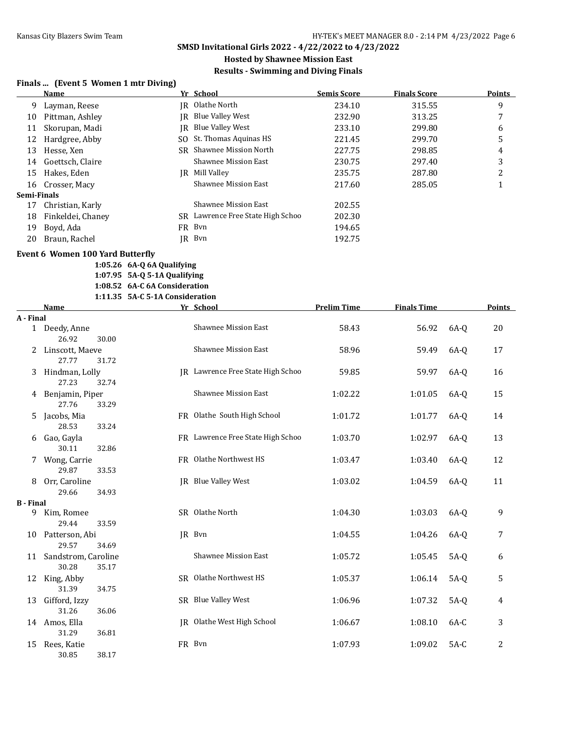### **Hosted by Shawnee Mission East**

# **Results - Swimming and Diving Finals**

### **Finals ... (Event 5 Women 1 mtr Diving)**

|             | <b>Name</b>       |      | Yr School                      | <b>Semis Score</b> | <b>Finals Score</b> | <b>Points</b> |
|-------------|-------------------|------|--------------------------------|--------------------|---------------------|---------------|
| 9           | Layman, Reese     |      | IR Olathe North                | 234.10             | 315.55              | 9             |
| 10          | Pittman, Ashley   | IR   | Blue Valley West               | 232.90             | 313.25              |               |
| 11          | Skorupan, Madi    | IR   | Blue Valley West               | 233.10             | 299.80              | 6             |
| 12          | Hardgree, Abby    |      | SO St. Thomas Aquinas HS       | 221.45             | 299.70              | 5             |
| 13          | Hesse, Xen        |      | SR Shawnee Mission North       | 227.75             | 298.85              | 4             |
| 14          | Goettsch. Claire  |      | <b>Shawnee Mission East</b>    | 230.75             | 297.40              | 3             |
| 15          | Hakes, Eden       | IR   | Mill Valley                    | 235.75             | 287.80              |               |
| 16          | Crosser, Macy     |      | Shawnee Mission East           | 217.60             | 285.05              |               |
| Semi-Finals |                   |      |                                |                    |                     |               |
| 17          | Christian, Karly  |      | Shawnee Mission East           | 202.55             |                     |               |
| 18          | Finkeldei, Chaney | SR - | Lawrence Free State High Schoo | 202.30             |                     |               |
| 19          | Boyd, Ada         |      | FR Byn                         | 194.65             |                     |               |
| 20          | Braun, Rachel     |      | JR Byn                         | 192.75             |                     |               |

### **Event 6 Women 100 Yard Butterfly**

**1:05.26 6A-Q 6A Qualifying**

**1:07.95 5A-Q 5-1A Qualifying**

#### **1:08.52 6A-C 6A Consideration 1:11.35 5A-C 5-1A Consideration**

|                  | <b>Name</b>                  |       | Yr School                         | <b>Prelim Time</b> | <b>Finals Time</b> |        | Points |
|------------------|------------------------------|-------|-----------------------------------|--------------------|--------------------|--------|--------|
| A - Final        |                              |       |                                   |                    |                    |        |        |
|                  | 1 Deedy, Anne<br>26.92       | 30.00 | <b>Shawnee Mission East</b>       | 58.43              | 56.92              | 6A-0   | 20     |
| 2                | Linscott, Maeve<br>27.77     | 31.72 | <b>Shawnee Mission East</b>       | 58.96              | 59.49              | $6A-Q$ | 17     |
| 3                | Hindman, Lolly<br>27.23      | 32.74 | JR Lawrence Free State High Schoo | 59.85              | 59.97              | $6A-Q$ | 16     |
| 4                | Benjamin, Piper<br>27.76     | 33.29 | <b>Shawnee Mission East</b>       | 1:02.22            | 1:01.05            | $6A-Q$ | 15     |
| 5                | Jacobs, Mia<br>28.53         | 33.24 | FR Olathe South High School       | 1:01.72            | 1:01.77            | $6A-Q$ | 14     |
| 6                | Gao, Gayla<br>30.11          | 32.86 | FR Lawrence Free State High Schoo | 1:03.70            | 1:02.97            | $6A-Q$ | 13     |
|                  | Wong, Carrie<br>29.87        | 33.53 | FR Olathe Northwest HS            | 1:03.47            | 1:03.40            | 6A-0   | 12     |
| 8                | Orr, Caroline<br>29.66       | 34.93 | IR Blue Valley West               | 1:03.02            | 1:04.59            | $6A-Q$ | 11     |
| <b>B</b> - Final |                              |       |                                   |                    |                    |        |        |
| 9                | Kim, Romee<br>29.44          | 33.59 | SR Olathe North                   | 1:04.30            | 1:03.03            | $6A-Q$ | 9      |
| 10               | Patterson, Abi<br>29.57      | 34.69 | IR Byn                            | 1:04.55            | 1:04.26            | 6A-Q   | 7      |
| 11               | Sandstrom, Caroline<br>30.28 | 35.17 | <b>Shawnee Mission East</b>       | 1:05.72            | 1:05.45            | $5A-Q$ | 6      |
| 12               | King, Abby<br>31.39          | 34.75 | SR Olathe Northwest HS            | 1:05.37            | 1:06.14            | $5A-Q$ | 5      |
| 13               | Gifford, Izzy<br>31.26       | 36.06 | SR Blue Valley West               | 1:06.96            | 1:07.32            | $5A-Q$ | 4      |
|                  | 14 Amos, Ella<br>31.29       | 36.81 | JR Olathe West High School        | 1:06.67            | 1:08.10            | $6A-C$ | 3      |
| 15               | Rees, Katie<br>30.85         | 38.17 | FR Bvn                            | 1:07.93            | 1:09.02            | $5A-C$ | 2      |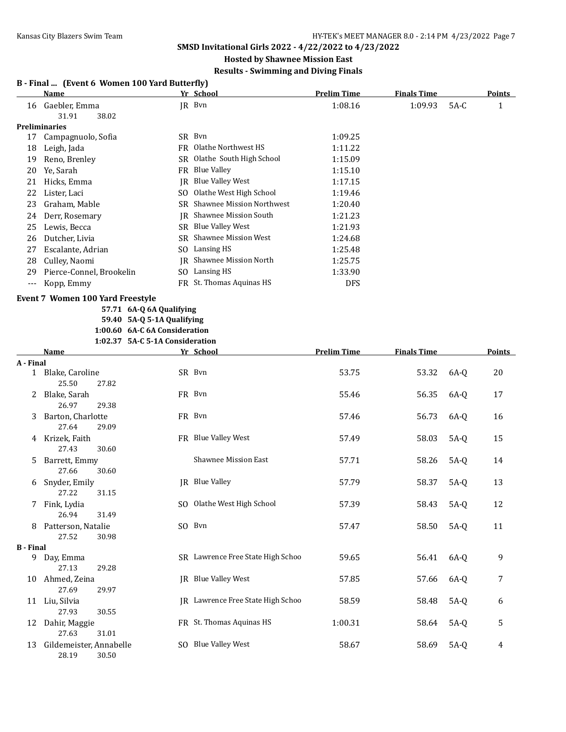## **Hosted by Shawnee Mission East Results - Swimming and Diving Finals**

#### **B - Final ... (Event 6 Women 100 Yard Butterfly)**

|         | Name                     |     | Yr School                        | Prelim Time | <b>Finals Time</b> |        | <b>Points</b> |
|---------|--------------------------|-----|----------------------------------|-------------|--------------------|--------|---------------|
| 16      | Gaebler, Emma            |     | JR Byn                           | 1:08.16     | 1:09.93            | $5A-C$ | 1             |
|         | 31.91<br>38.02           |     |                                  |             |                    |        |               |
|         | <b>Preliminaries</b>     |     |                                  |             |                    |        |               |
| 17      | Campagnuolo, Sofia       |     | SR Byn                           | 1:09.25     |                    |        |               |
| 18      | Leigh, Jada              | FR. | Olathe Northwest HS              | 1:11.22     |                    |        |               |
| 19      | Reno, Brenley            |     | SR Olathe South High School      | 1:15.09     |                    |        |               |
| 20      | Ye, Sarah                | FR. | Blue Valley                      | 1:15.10     |                    |        |               |
| 21      | Hicks, Emma              | IR  | <b>Blue Valley West</b>          | 1:17.15     |                    |        |               |
| 22      | Lister, Laci             | SO. | Olathe West High School          | 1:19.46     |                    |        |               |
| 23      | Graham, Mable            | SR. | <b>Shawnee Mission Northwest</b> | 1:20.40     |                    |        |               |
| 24      | Derr, Rosemary           | IR  | <b>Shawnee Mission South</b>     | 1:21.23     |                    |        |               |
| 25      | Lewis, Becca             | SR. | <b>Blue Valley West</b>          | 1:21.93     |                    |        |               |
| 26      | Dutcher, Livia           | SR  | <b>Shawnee Mission West</b>      | 1:24.68     |                    |        |               |
| 27      | Escalante, Adrian        | SO. | Lansing HS                       | 1:25.48     |                    |        |               |
| 28      | Culley, Naomi            | IR  | Shawnee Mission North            | 1:25.75     |                    |        |               |
| 29      | Pierce-Connel, Brookelin | SO. | Lansing HS                       | 1:33.90     |                    |        |               |
| $- - -$ | Kopp, Emmy               |     | FR St. Thomas Aquinas HS         | <b>DFS</b>  |                    |        |               |

### **Event 7 Women 100 Yard Freestyle**

**57.71 6A-Q 6A Qualifying 59.40 5A-Q 5-1A Qualifying 1:00.60 6A-C 6A Consideration**

**1:02.37 5A-C 5-1A Consideration**

|                       | <b>Name</b>             | Yr School                         | <b>Prelim Time</b> | <b>Finals Time</b> |        | <b>Points</b> |
|-----------------------|-------------------------|-----------------------------------|--------------------|--------------------|--------|---------------|
| A - Final             |                         |                                   |                    |                    |        |               |
| $\mathbf{1}$          | Blake, Caroline         | SR Bvn                            | 53.75              | 53.32              | 6A-0   | 20            |
|                       | 25.50<br>27.82          |                                   |                    |                    |        |               |
| 2                     | Blake, Sarah            | FR Bvn                            | 55.46              | 56.35              | $6A-Q$ | 17            |
|                       | 26.97<br>29.38          |                                   |                    |                    |        |               |
| 3                     | Barton, Charlotte       | FR Bvn                            | 57.46              | 56.73              | 6A-Q   | 16            |
|                       | 27.64<br>29.09          |                                   |                    |                    |        |               |
| 4                     | Krizek, Faith           | FR Blue Valley West               | 57.49              | 58.03              | $5A-Q$ | 15            |
|                       | 27.43<br>30.60          |                                   |                    |                    |        |               |
| 5                     | Barrett, Emmy           | <b>Shawnee Mission East</b>       | 57.71              | 58.26              | $5A-Q$ | 14            |
|                       | 27.66<br>30.60          |                                   |                    |                    |        |               |
| 6                     | Snyder, Emily           | JR Blue Valley                    | 57.79              | 58.37              | $5A-Q$ | 13            |
|                       | 27.22<br>31.15          |                                   |                    |                    |        |               |
| 7                     | Fink, Lydia             | SO Olathe West High School        | 57.39              | 58.43              | $5A-Q$ | 12            |
|                       | 26.94<br>31.49          |                                   |                    |                    |        |               |
| 8                     | Patterson, Natalie      | SO Bvn                            | 57.47              | 58.50              | $5A-Q$ | 11            |
|                       | 27.52<br>30.98          |                                   |                    |                    |        |               |
| <b>B</b> - Final<br>9 | Day, Emma               | SR Lawrence Free State High Schoo | 59.65              | 56.41              | $6A-Q$ | 9             |
|                       | 27.13<br>29.28          |                                   |                    |                    |        |               |
| 10                    | Ahmed, Zeina            | IR Blue Valley West               | 57.85              | 57.66              | $6A-Q$ | 7             |
|                       | 27.69<br>29.97          |                                   |                    |                    |        |               |
| 11                    | Liu, Silvia             | IR Lawrence Free State High Schoo | 58.59              | 58.48              | $5A-Q$ | 6             |
|                       | 27.93<br>30.55          |                                   |                    |                    |        |               |
| 12                    | Dahir, Maggie           | FR St. Thomas Aquinas HS          | 1:00.31            | 58.64              | $5A-Q$ | 5             |
|                       | 27.63<br>31.01          |                                   |                    |                    |        |               |
| 13                    | Gildemeister, Annabelle | SO Blue Valley West               | 58.67              | 58.69              | $5A-Q$ | 4             |
|                       | 28.19<br>30.50          |                                   |                    |                    |        |               |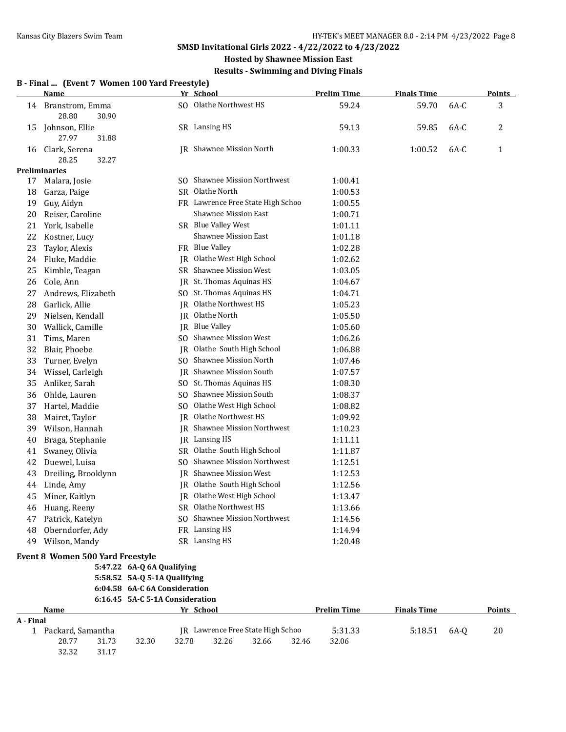# **Hosted by Shawnee Mission East**

|           | <u>Name</u>                       |                                 | Yr School                         | <b>Prelim Time</b> | <b>Finals Time</b> |        | <b>Points</b> |
|-----------|-----------------------------------|---------------------------------|-----------------------------------|--------------------|--------------------|--------|---------------|
| 14        | Branstrom, Emma<br>28.80<br>30.90 |                                 | SO Olathe Northwest HS            | 59.24              | 59.70              | 6A-C   | 3             |
| 15        | Johnson, Ellie<br>27.97<br>31.88  |                                 | SR Lansing HS                     | 59.13              | 59.85              | 6A-C   | 2             |
| 16        | Clark, Serena<br>28.25<br>32.27   |                                 | <b>IR</b> Shawnee Mission North   | 1:00.33            | 1:00.52            | 6A-C   | $\mathbf{1}$  |
|           | <b>Preliminaries</b>              |                                 |                                   |                    |                    |        |               |
| 17        | Malara, Josie                     | SO.                             | <b>Shawnee Mission Northwest</b>  | 1:00.41            |                    |        |               |
| 18        | Garza, Paige                      |                                 | SR Olathe North                   | 1:00.53            |                    |        |               |
| 19        | Guy, Aidyn                        |                                 | FR Lawrence Free State High Schoo | 1:00.55            |                    |        |               |
| 20        | Reiser, Caroline                  |                                 | <b>Shawnee Mission East</b>       | 1:00.71            |                    |        |               |
| 21        | York, Isabelle                    |                                 | SR Blue Valley West               | 1:01.11            |                    |        |               |
| 22        | Kostner, Lucy                     |                                 | Shawnee Mission East              | 1:01.18            |                    |        |               |
| 23        | Taylor, Alexis                    | FR                              | <b>Blue Valley</b>                | 1:02.28            |                    |        |               |
| 24        | Fluke, Maddie                     | IR                              | Olathe West High School           | 1:02.62            |                    |        |               |
| 25        | Kimble, Teagan                    | SR                              | Shawnee Mission West              | 1:03.05            |                    |        |               |
| 26        | Cole, Ann                         | IR                              | St. Thomas Aquinas HS             | 1:04.67            |                    |        |               |
| 27        | Andrews, Elizabeth                |                                 | SO St. Thomas Aquinas HS          | 1:04.71            |                    |        |               |
| 28        | Garlick, Allie                    | IR                              | Olathe Northwest HS               | 1:05.23            |                    |        |               |
| 29        | Nielsen, Kendall                  | IR                              | Olathe North                      | 1:05.50            |                    |        |               |
| 30        | Wallick, Camille                  | IR                              | <b>Blue Valley</b>                | 1:05.60            |                    |        |               |
| 31        | Tims, Maren                       | SO.                             | <b>Shawnee Mission West</b>       | 1:06.26            |                    |        |               |
| 32        | Blair, Phoebe                     | IR                              | Olathe South High School          | 1:06.88            |                    |        |               |
| 33        | Turner, Evelyn                    | SO.                             | Shawnee Mission North             | 1:07.46            |                    |        |               |
| 34        | Wissel, Carleigh                  | IR                              | Shawnee Mission South             | 1:07.57            |                    |        |               |
| 35        | Anliker, Sarah                    |                                 | SO St. Thomas Aquinas HS          | 1:08.30            |                    |        |               |
| 36        | Ohlde, Lauren                     | SO.                             | Shawnee Mission South             | 1:08.37            |                    |        |               |
| 37        | Hartel, Maddie                    | SO.                             | Olathe West High School           | 1:08.82            |                    |        |               |
| 38        | Mairet, Taylor                    | IR                              | Olathe Northwest HS               | 1:09.92            |                    |        |               |
| 39        | Wilson, Hannah                    | IR                              | <b>Shawnee Mission Northwest</b>  | 1:10.23            |                    |        |               |
| 40        | Braga, Stephanie                  | IR                              | Lansing HS                        | 1:11.11            |                    |        |               |
| 41        | Swaney, Olivia                    |                                 | SR Olathe South High School       | 1:11.87            |                    |        |               |
| 42        | Duewel, Luisa                     | SO.                             | <b>Shawnee Mission Northwest</b>  | 1:12.51            |                    |        |               |
| 43        | Dreiling, Brooklynn               |                                 | JR Shawnee Mission West           | 1:12.53            |                    |        |               |
| 44        | Linde, Amy                        |                                 | JR Olathe South High School       | 1:12.56            |                    |        |               |
| 45        | Miner, Kaitlyn                    |                                 | JR Olathe West High School        | 1:13.47            |                    |        |               |
| 46        | Huang, Reeny                      |                                 | SR Olathe Northwest HS            | 1:13.66            |                    |        |               |
| 47        | Patrick, Katelyn                  |                                 | SO Shawnee Mission Northwest      | 1:14.56            |                    |        |               |
| 48        | Oberndorfer, Ady                  |                                 | FR Lansing HS                     | 1:14.94            |                    |        |               |
| 49        | Wilson, Mandy                     |                                 | SR Lansing HS                     | 1:20.48            |                    |        |               |
|           | Event 8 Women 500 Yard Freestyle  |                                 |                                   |                    |                    |        |               |
|           |                                   | 5:47.22 6A-Q 6A Qualifying      |                                   |                    |                    |        |               |
|           |                                   | 5:58.52 5A-Q 5-1A Qualifying    |                                   |                    |                    |        |               |
|           |                                   | 6:04.58 6A-C 6A Consideration   |                                   |                    |                    |        |               |
|           |                                   | 6:16.45 5A-C 5-1A Consideration |                                   |                    |                    |        |               |
|           | Name                              |                                 | Yr School                         | <b>Prelim Time</b> | <b>Finals Time</b> |        | <b>Points</b> |
| A - Final |                                   |                                 |                                   |                    |                    |        |               |
|           | 1 Packard, Samantha               |                                 | IR Lawrence Free State High Schoo | 5:31.33            | 5:18.51            | $6A-Q$ | 20            |
|           | 28.77<br>31.73<br>32.32<br>31.17  | 32.30<br>32.78                  | 32.26<br>32.66<br>32.46           | 32.06              |                    |        |               |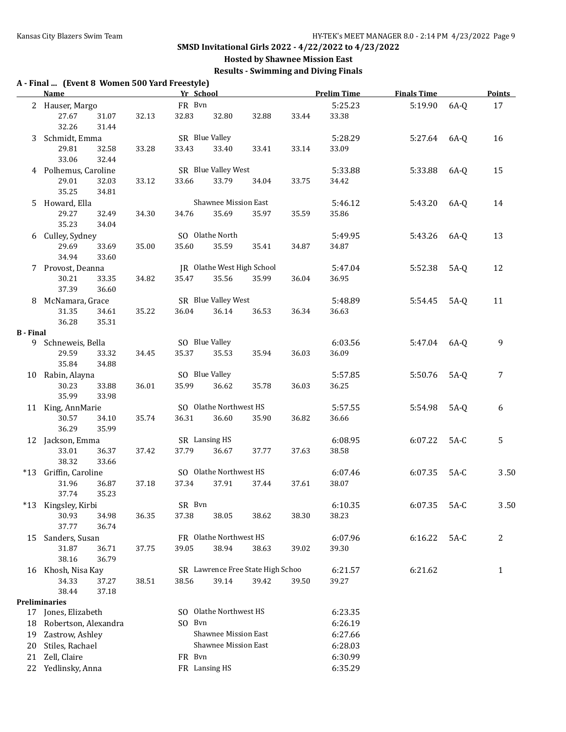## **Hosted by Shawnee Mission East Results - Swimming and Diving Finals**

### **A - Final ... (Event 8 Women 500 Yard Freestyle)**

|                  | <u>Name</u>                      |       | Yr School |                             |                                   |       | <b>Prelim Time</b> | <b>Finals Time</b> |        | <b>Points</b> |
|------------------|----------------------------------|-------|-----------|-----------------------------|-----------------------------------|-------|--------------------|--------------------|--------|---------------|
|                  | 2 Hauser, Margo                  |       | FR Bvn    |                             |                                   |       | 5:25.23            | 5:19.90            | 6A-Q   | 17            |
|                  | 27.67<br>31.07<br>32.26<br>31.44 | 32.13 | 32.83     | 32.80                       | 32.88                             | 33.44 | 33.38              |                    |        |               |
|                  | 3 Schmidt, Emma                  |       |           | SR Blue Valley              |                                   |       | 5:28.29            | 5:27.64            | 6A-Q   | 16            |
|                  | 29.81<br>32.58                   | 33.28 | 33.43     | 33.40                       | 33.41                             | 33.14 | 33.09              |                    |        |               |
|                  | 33.06<br>32.44                   |       |           |                             |                                   |       |                    |                    |        |               |
|                  | 4 Polhemus, Caroline             |       |           | SR Blue Valley West         |                                   |       | 5:33.88            | 5:33.88            | 6A-Q   | 15            |
|                  | 29.01<br>32.03                   | 33.12 | 33.66     | 33.79                       | 34.04                             | 33.75 | 34.42              |                    |        |               |
|                  | 35.25<br>34.81                   |       |           |                             |                                   |       |                    |                    |        |               |
|                  | 5 Howard, Ella                   |       |           | <b>Shawnee Mission East</b> |                                   |       | 5:46.12            | 5:43.20            | 6A-Q   | 14            |
|                  | 29.27<br>32.49                   | 34.30 | 34.76     | 35.69                       | 35.97                             | 35.59 | 35.86              |                    |        |               |
|                  | 35.23<br>34.04                   |       |           |                             |                                   |       |                    |                    |        |               |
|                  | 6 Culley, Sydney                 |       |           | SO Olathe North             |                                   |       | 5:49.95            | 5:43.26            | 6A-Q   | 13            |
|                  | 29.69<br>33.69                   | 35.00 | 35.60     | 35.59                       | 35.41                             | 34.87 | 34.87              |                    |        |               |
|                  | 34.94<br>33.60                   |       |           |                             |                                   |       |                    |                    |        |               |
|                  | 7 Provost, Deanna                |       |           |                             | JR Olathe West High School        |       | 5:47.04            | 5:52.38            | 5A-Q   | 12            |
|                  | 30.21<br>33.35                   | 34.82 | 35.47     | 35.56                       | 35.99                             | 36.04 | 36.95              |                    |        |               |
|                  | 37.39<br>36.60                   |       |           |                             |                                   |       |                    |                    |        |               |
|                  | 8 McNamara, Grace                |       |           | SR Blue Valley West         |                                   |       | 5:48.89            | 5:54.45            | $5A-Q$ | 11            |
|                  | 31.35<br>34.61                   | 35.22 | 36.04     | 36.14                       | 36.53                             | 36.34 | 36.63              |                    |        |               |
|                  | 36.28<br>35.31                   |       |           |                             |                                   |       |                    |                    |        |               |
| <b>B</b> - Final |                                  |       |           |                             |                                   |       |                    |                    |        |               |
|                  | 9 Schneweis, Bella               |       |           | SO Blue Valley              |                                   |       | 6:03.56            | 5:47.04 6A-Q       |        | 9             |
|                  | 29.59<br>33.32                   | 34.45 | 35.37     | 35.53                       | 35.94                             | 36.03 | 36.09              |                    |        |               |
|                  | 35.84<br>34.88                   |       |           |                             |                                   |       |                    |                    |        |               |
|                  | 10 Rabin, Alayna                 |       |           | SO Blue Valley              |                                   |       | 5:57.85            | 5:50.76            | 5A-Q   | 7             |
|                  | 30.23<br>33.88                   | 36.01 | 35.99     | 36.62                       | 35.78                             | 36.03 | 36.25              |                    |        |               |
|                  | 35.99<br>33.98                   |       |           |                             |                                   |       |                    |                    |        |               |
|                  | 11 King, AnnMarie                |       |           | SO Olathe Northwest HS      |                                   |       | 5:57.55            | 5:54.98            | $5A-Q$ | 6             |
|                  | 30.57<br>34.10                   | 35.74 | 36.31     | 36.60                       | 35.90                             | 36.82 | 36.66              |                    |        |               |
|                  | 36.29<br>35.99                   |       |           |                             |                                   |       |                    |                    |        |               |
|                  | 12 Jackson, Emma                 |       |           | SR Lansing HS               |                                   |       | 6:08.95            | 6:07.22            | 5A-C   | 5             |
|                  | 36.37<br>33.01                   | 37.42 | 37.79     | 36.67                       | 37.77                             | 37.63 | 38.58              |                    |        |               |
|                  | 38.32<br>33.66                   |       |           |                             |                                   |       |                    |                    |        |               |
|                  | *13 Griffin, Caroline            |       |           | SO Olathe Northwest HS      |                                   |       | 6:07.46            | 6:07.35            | $5A-C$ | 3.50          |
|                  | 31.96<br>36.87                   | 37.18 | 37.34     | 37.91                       | 37.44                             | 37.61 | 38.07              |                    |        |               |
|                  | 37.74<br>35.23                   |       |           |                             |                                   |       |                    |                    |        |               |
|                  | *13 Kingsley, Kirbi              |       | SR Bvn    |                             |                                   |       | 6:10.35            | 6:07.35            | $5A-C$ | 3.50          |
|                  | 30.93<br>34.98                   | 36.35 | 37.38     | 38.05                       | 38.62                             | 38.30 | 38.23              |                    |        |               |
|                  | 37.77<br>36.74                   |       |           |                             |                                   |       |                    |                    |        |               |
| 15               | Sanders, Susan                   |       |           | FR Olathe Northwest HS      |                                   |       | 6:07.96            | 6:16.22            | $5A-C$ | 2             |
|                  | 31.87<br>36.71                   | 37.75 | 39.05     | 38.94                       | 38.63                             | 39.02 | 39.30              |                    |        |               |
|                  | 38.16<br>36.79                   |       |           |                             |                                   |       |                    |                    |        |               |
|                  | 16 Khosh, Nisa Kay               |       |           |                             | SR Lawrence Free State High Schoo |       | 6:21.57            | 6:21.62            |        | $\mathbf{1}$  |
|                  | 34.33<br>37.27                   | 38.51 | 38.56     | 39.14                       | 39.42                             | 39.50 | 39.27              |                    |        |               |
|                  | 38.44<br>37.18                   |       |           |                             |                                   |       |                    |                    |        |               |
|                  | Preliminaries                    |       |           |                             |                                   |       |                    |                    |        |               |
|                  | 17 Jones, Elizabeth              |       |           | SO Olathe Northwest HS      |                                   |       | 6:23.35            |                    |        |               |
| 18               | Robertson, Alexandra             |       | SO Bvn    |                             |                                   |       | 6:26.19            |                    |        |               |
| 19               | Zastrow, Ashley                  |       |           | Shawnee Mission East        |                                   |       | 6:27.66            |                    |        |               |
| 20               | Stiles, Rachael                  |       |           | Shawnee Mission East        |                                   |       | 6:28.03            |                    |        |               |
| 21               | Zell, Claire                     |       | FR Bvn    |                             |                                   |       | 6:30.99            |                    |        |               |
|                  | 22 Yedlinsky, Anna               |       |           | FR Lansing HS               |                                   |       | 6:35.29            |                    |        |               |
|                  |                                  |       |           |                             |                                   |       |                    |                    |        |               |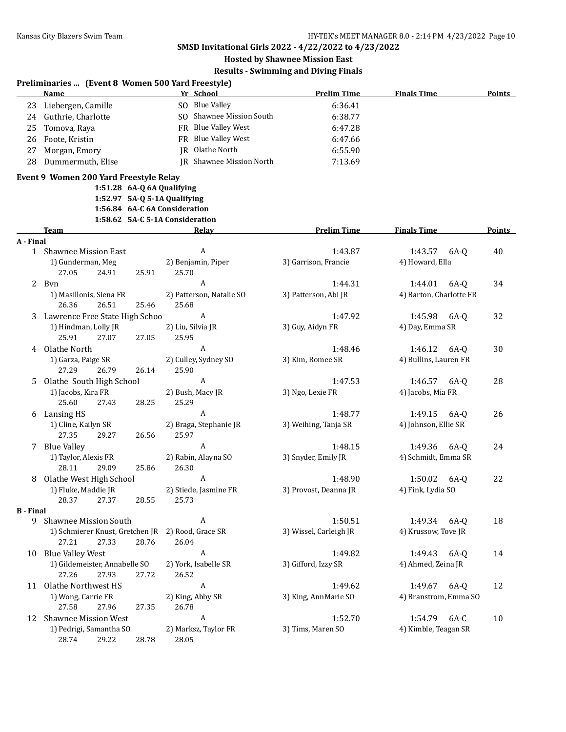# **Hosted by Shawnee Mission East**

|                  | Preliminaries  (Event 8 Women 500 Yard Freestyle)                                                                                     |                                                 |                        |                         |               |
|------------------|---------------------------------------------------------------------------------------------------------------------------------------|-------------------------------------------------|------------------------|-------------------------|---------------|
|                  | Name                                                                                                                                  | Yr School                                       | <b>Prelim Time</b>     | <b>Finals Time</b>      | <b>Points</b> |
| 23               | Liebergen, Camille                                                                                                                    | SO Blue Valley                                  | 6:36.41                |                         |               |
| 24               | Guthrie, Charlotte                                                                                                                    | SO Shawnee Mission South                        | 6:38.77                |                         |               |
| 25               | Tomova, Raya                                                                                                                          | FR Blue Valley West                             | 6:47.28                |                         |               |
| 26               | Foote, Kristin                                                                                                                        | FR Blue Valley West                             | 6:47.66                |                         |               |
| 27               | Morgan, Emory                                                                                                                         | JR Olathe North                                 | 6:55.90                |                         |               |
| 28               | Dummermuth, Elise                                                                                                                     | JR Shawnee Mission North                        | 7:13.69                |                         |               |
|                  | Event 9 Women 200 Yard Freestyle Relay<br>1:51.28 6A-Q 6A Qualifying<br>1:52.97 5A-Q 5-1A Qualifying<br>1:56.84 6A-C 6A Consideration |                                                 |                        |                         |               |
|                  | <b>Team</b>                                                                                                                           | 1:58.62 5A-C 5-1A Consideration<br><b>Relay</b> | <b>Prelim Time</b>     | <b>Finals Time</b>      | Points        |
| A - Final        |                                                                                                                                       |                                                 |                        |                         |               |
|                  | 1 Shawnee Mission East                                                                                                                | A                                               | 1:43.87                | 1:43.57<br>6A-0         | 40            |
|                  | 1) Gunderman, Meg                                                                                                                     | 2) Benjamin, Piper                              | 3) Garrison, Francie   | 4) Howard, Ella         |               |
|                  | 27.05<br>25.91<br>24.91                                                                                                               | 25.70                                           |                        |                         |               |
|                  | 2 Byn                                                                                                                                 | A                                               | 1:44.31                | 1:44.01<br>6A-0         | 34            |
|                  | 1) Masillonis, Siena FR                                                                                                               | 2) Patterson, Natalie SO                        | 3) Patterson, Abi JR   | 4) Barton, Charlotte FR |               |
|                  | 26.36<br>26.51<br>25.46                                                                                                               | 25.68                                           |                        |                         |               |
| 3                | Lawrence Free State High Schoo                                                                                                        | A                                               | 1:47.92                | 1:45.98<br>$6A-Q$       | 32            |
|                  | 1) Hindman, Lolly JR                                                                                                                  | 2) Liu, Silvia JR                               | 3) Guy, Aidyn FR       | 4) Day, Emma SR         |               |
|                  | 25.91<br>27.07<br>27.05                                                                                                               | 25.95                                           |                        |                         |               |
|                  | Olathe North                                                                                                                          | A                                               | 1:48.46                |                         | 30            |
| 4                |                                                                                                                                       |                                                 |                        | 1:46.12<br>6A-Q         |               |
|                  | 1) Garza, Paige SR<br>27.29<br>26.79                                                                                                  | 2) Culley, Sydney SO                            | 3) Kim, Romee SR       | 4) Bullins, Lauren FR   |               |
|                  | 26.14                                                                                                                                 | 25.90                                           |                        |                         |               |
| 5                | Olathe South High School                                                                                                              | A                                               | 1:47.53                | 1:46.57<br>6A-0         | 28            |
|                  | 1) Jacobs, Kira FR                                                                                                                    | 2) Bush, Macy JR                                | 3) Ngo, Lexie FR       | 4) Jacobs, Mia FR       |               |
|                  | 25.60<br>27.43<br>28.25                                                                                                               | 25.29                                           |                        |                         |               |
| 6                | Lansing HS                                                                                                                            | A                                               | 1:48.77                | 1:49.15<br>6A-0         | 26            |
|                  | 1) Cline, Kailyn SR                                                                                                                   | 2) Braga, Stephanie JR                          | 3) Weihing, Tanja SR   | 4) Johnson, Ellie SR    |               |
|                  | 27.35<br>29.27<br>26.56                                                                                                               | 25.97                                           |                        |                         |               |
| 7                | <b>Blue Valley</b>                                                                                                                    | A                                               | 1:48.15                | 1:49.36<br>6A-0         | 24            |
|                  | 1) Taylor, Alexis FR                                                                                                                  | 2) Rabin, Alayna SO                             | 3) Snyder, Emily JR    | 4) Schmidt, Emma SR     |               |
|                  | 28.11<br>29.09<br>25.86                                                                                                               | 26.30                                           |                        |                         |               |
| 8                | Olathe West High School                                                                                                               | A                                               | 1:48.90                | 1:50.02<br>6A-0         | 22            |
|                  | 1) Fluke, Maddie JR                                                                                                                   | 2) Stiede, Jasmine FR                           | 3) Provost, Deanna JR  | 4) Fink, Lydia SO       |               |
|                  | 28.37<br>27.37<br>28.55                                                                                                               | 25.73                                           |                        |                         |               |
| <b>B</b> - Final |                                                                                                                                       |                                                 |                        |                         |               |
| 9.               | Shawnee Mission South                                                                                                                 | A                                               | 1:50.51                | 1:49.34 6A-Q            | 18            |
|                  | 1) Schmierer Knust, Gretchen JR 2) Rood, Grace SR                                                                                     |                                                 | 3) Wissel, Carleigh JR | 4) Krussow, Tove JR     |               |
|                  | 27.21<br>27.33<br>28.76                                                                                                               | 26.04                                           |                        |                         |               |
| 10               | <b>Blue Valley West</b>                                                                                                               | A                                               | 1:49.82                | 1:49.43<br>$6A-Q$       | 14            |
|                  | 1) Gildemeister, Annabelle SO                                                                                                         | 2) York, Isabelle SR                            | 3) Gifford, Izzy SR    | 4) Ahmed, Zeina JR      |               |
|                  | 27.26<br>27.93<br>27.72                                                                                                               | 26.52                                           |                        |                         |               |
| 11               | Olathe Northwest HS                                                                                                                   | Α                                               | 1:49.62                | 1:49.67<br>$6A-Q$       | 12            |
|                  | 1) Wong, Carrie FR                                                                                                                    | 2) King, Abby SR                                | 3) King, AnnMarie SO   | 4) Branstrom, Emma SO   |               |
|                  | 27.58<br>27.96<br>27.35                                                                                                               | 26.78                                           |                        |                         |               |
| 12               | <b>Shawnee Mission West</b>                                                                                                           | A                                               | 1:52.70                | 1:54.79<br>6A-C         | 10            |
|                  | 1) Pedrigi, Samantha SO                                                                                                               | 2) Marksz, Taylor FR                            | 3) Tims, Maren SO      | 4) Kimble, Teagan SR    |               |
|                  | 28.74<br>29.22<br>28.78                                                                                                               | 28.05                                           |                        |                         |               |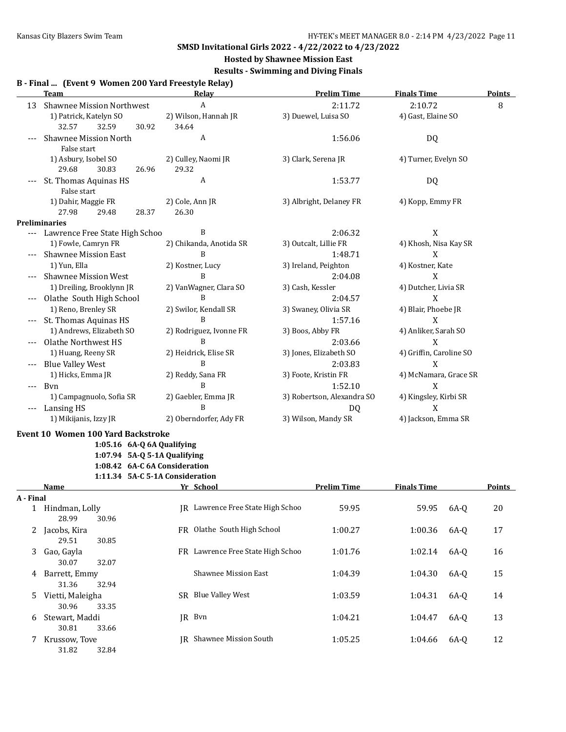# **Hosted by Shawnee Mission East**

### **Results - Swimming and Diving Finals**

### **B - Final ... (Event 9 Women 200 Yard Freestyle Relay)**

|                     | <b>Team</b>                                       | Relay                             | <b>Prelim Time</b>         | <b>Finals Time</b>      | <b>Points</b> |
|---------------------|---------------------------------------------------|-----------------------------------|----------------------------|-------------------------|---------------|
|                     | 13 Shawnee Mission Northwest                      | A                                 | 2:11.72                    | 2:10.72                 | 8             |
|                     | 1) Patrick, Katelyn SO<br>32.59<br>32.57<br>30.92 | 2) Wilson, Hannah JR<br>34.64     | 3) Duewel, Luisa SO        | 4) Gast, Elaine SO      |               |
|                     | <b>Shawnee Mission North</b><br>False start       | Α                                 | 1:56.06                    | <b>DQ</b>               |               |
|                     | 1) Asbury, Isobel SO<br>29.68<br>30.83<br>26.96   | 2) Culley, Naomi JR<br>29.32      | 3) Clark, Serena JR        | 4) Turner, Evelyn SO    |               |
|                     | St. Thomas Aquinas HS<br>False start              | A                                 | 1:53.77                    | DQ                      |               |
|                     | 1) Dahir, Maggie FR<br>27.98<br>29.48<br>28.37    | 2) Cole, Ann JR<br>26.30          | 3) Albright, Delaney FR    | 4) Kopp, Emmy FR        |               |
|                     | <b>Preliminaries</b>                              |                                   |                            |                         |               |
| ---                 | Lawrence Free State High Schoo                    | B                                 | 2:06.32                    | X                       |               |
|                     | 1) Fowle, Camryn FR                               | 2) Chikanda, Anotida SR           | 3) Outcalt, Lillie FR      | 4) Khosh, Nisa Kay SR   |               |
|                     | <b>Shawnee Mission East</b>                       | B                                 | 1:48.71                    | X                       |               |
|                     | 1) Yun, Ella                                      | 2) Kostner, Lucy                  | 3) Ireland, Peighton       | 4) Kostner, Kate        |               |
|                     | <b>Shawnee Mission West</b>                       | B                                 | 2:04.08                    | X                       |               |
|                     | 1) Dreiling, Brooklynn JR                         | 2) VanWagner, Clara SO            | 3) Cash, Kessler           | 4) Dutcher, Livia SR    |               |
|                     | Olathe South High School                          | B                                 | 2:04.57                    | X                       |               |
|                     | 1) Reno, Brenley SR                               | 2) Swilor, Kendall SR             | 3) Swaney, Olivia SR       | 4) Blair, Phoebe JR     |               |
| ---                 | St. Thomas Aquinas HS                             | B                                 | 1:57.16                    | X                       |               |
|                     | 1) Andrews, Elizabeth SO                          | 2) Rodriguez, Ivonne FR           | 3) Boos, Abby FR           | 4) Anliker, Sarah SO    |               |
|                     | <b>Olathe Northwest HS</b>                        | B                                 | 2:03.66                    | X                       |               |
|                     | 1) Huang, Reeny SR                                | 2) Heidrick, Elise SR             | 3) Jones, Elizabeth SO     | 4) Griffin, Caroline SO |               |
|                     | <b>Blue Valley West</b>                           | B                                 | 2:03.83                    | X                       |               |
|                     | 1) Hicks, Emma JR                                 | 2) Reddy, Sana FR                 | 3) Foote, Kristin FR       | 4) McNamara, Grace SR   |               |
| $\qquad \qquad - -$ | Bvn                                               | B                                 | 1:52.10                    | X                       |               |
|                     | 1) Campagnuolo, Sofia SR                          | 2) Gaebler, Emma JR               | 3) Robertson, Alexandra SO | 4) Kingsley, Kirbi SR   |               |
| ---                 | Lansing HS                                        | B                                 | DQ                         | X                       |               |
|                     | 1) Mikijanis, Izzy JR                             | 2) Oberndorfer, Ady FR            | 3) Wilson, Mandy SR        | 4) Jackson, Emma SR     |               |
|                     | Event 10 Women 100 Yard Backstroke                |                                   |                            |                         |               |
|                     | 1:05.16 6A-Q 6A Qualifying                        |                                   |                            |                         |               |
|                     | 1:07.94 5A-Q 5-1A Qualifying                      |                                   |                            |                         |               |
|                     | 1:08.42 6A-C 6A Consideration                     |                                   |                            |                         |               |
|                     | 1:11.34 5A-C 5-1A Consideration                   |                                   |                            |                         |               |
|                     | Name                                              | Yr School                         | <b>Prelim Time</b>         | <b>Finals Time</b>      | <b>Points</b> |
| A - Final           |                                                   |                                   |                            |                         |               |
|                     | 1 Hindman, Lolly<br>28.99<br>30.96                | JR Lawrence Free State High Schoo | 59.95                      | 59.95<br>6A-Q           | $20\,$        |
|                     | 2 Jacobs, Kira<br>29.51<br>30.85                  | FR Olathe South High School       | 1:00.27                    | 1:00.36<br>6A-Q         | 17            |
|                     | 3 Gao, Gayla<br>30.07<br>32.07                    | FR Lawrence Free State High Schoo | 1:01.76                    | 1:02.14<br>$6A-Q$       | 16            |
|                     | 4 Barrett, Emmy<br>31.36<br>32.94                 | Shawnee Mission East              | 1:04.39                    | 1:04.30<br>$6A-Q$       | 15            |
|                     | 5 Vietti, Maleigha<br>30.96<br>33.35              | SR Blue Valley West               | 1:03.59                    | 1:04.31<br>$6A-Q$       | 14            |
| 6                   | Stewart, Maddi<br>30.81<br>33.66                  | JR Bvn                            | 1:04.21                    | 1:04.47<br>$6A-Q$       | 13            |
|                     | 7 Krussow, Tove<br>31.82<br>32.84                 | JR Shawnee Mission South          | 1:05.25                    | 1:04.66<br>$6A-Q$       | 12            |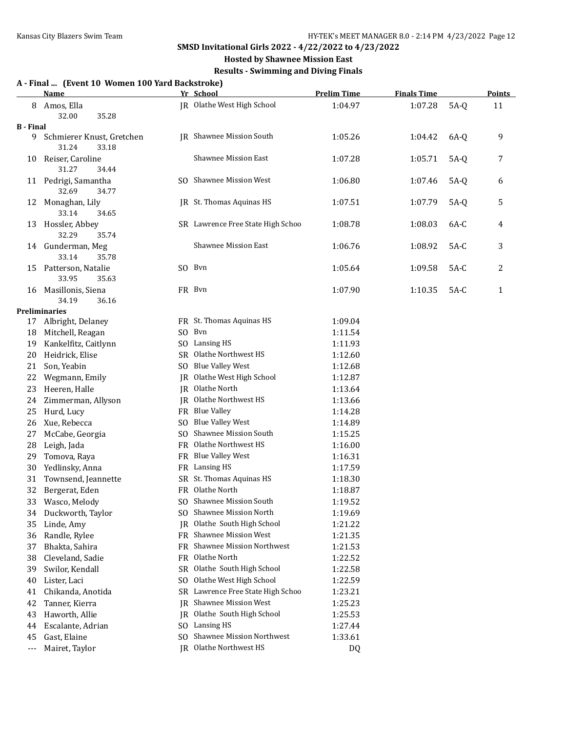# **Hosted by Shawnee Mission East**

|                            | A - Final  (Event 10 Women 100 Yard Backstroke)<br><b>Name</b> |      | Yr School                         | <b>Prelim Time</b> | <b>Finals Time</b> |        | <b>Points</b> |
|----------------------------|----------------------------------------------------------------|------|-----------------------------------|--------------------|--------------------|--------|---------------|
| 8                          | Amos, Ella                                                     |      | JR Olathe West High School        | 1:04.97            | 1:07.28            | $5A-Q$ | 11            |
|                            | 32.00<br>35.28                                                 |      |                                   |                    |                    |        |               |
| <b>B</b> - Final           |                                                                |      |                                   |                    |                    |        |               |
| 9                          | Schmierer Knust, Gretchen<br>31.24<br>33.18                    |      | JR Shawnee Mission South          | 1:05.26            | 1:04.42            | $6A-Q$ | 9             |
| 10                         | Reiser, Caroline<br>31.27<br>34.44                             |      | <b>Shawnee Mission East</b>       | 1:07.28            | 1:05.71            | $5A-Q$ | 7             |
|                            | 11 Pedrigi, Samantha<br>32.69<br>34.77                         |      | SO Shawnee Mission West           | 1:06.80            | 1:07.46            | $5A-Q$ | 6             |
|                            | 12 Monaghan, Lily<br>33.14<br>34.65                            |      | JR St. Thomas Aquinas HS          | 1:07.51            | 1:07.79            | $5A-Q$ | 5             |
|                            | 13 Hossler, Abbey<br>32.29<br>35.74                            |      | SR Lawrence Free State High Schoo | 1:08.78            | 1:08.03            | 6A-C   | 4             |
|                            | 14 Gunderman, Meg<br>33.14<br>35.78                            |      | <b>Shawnee Mission East</b>       | 1:06.76            | 1:08.92            | $5A-C$ | 3             |
| 15                         | Patterson, Natalie<br>33.95<br>35.63                           |      | SO Bvn                            | 1:05.64            | 1:09.58            | $5A-C$ | 2             |
|                            | 16 Masillonis, Siena<br>34.19<br>36.16                         |      | FR Bvn                            | 1:07.90            | 1:10.35            | $5A-C$ | $\mathbf{1}$  |
|                            | <b>Preliminaries</b>                                           |      |                                   |                    |                    |        |               |
| 17                         | Albright, Delaney                                              |      | FR St. Thomas Aquinas HS          | 1:09.04            |                    |        |               |
| 18                         | Mitchell, Reagan                                               |      | SO Bvn                            | 1:11.54            |                    |        |               |
| 19                         | Kankelfitz, Caitlynn                                           |      | SO Lansing HS                     | 1:11.93            |                    |        |               |
| 20                         | Heidrick, Elise                                                |      | SR Olathe Northwest HS            | 1:12.60            |                    |        |               |
| 21                         | Son, Yeabin                                                    |      | SO Blue Valley West               | 1:12.68            |                    |        |               |
| 22                         | Wegmann, Emily                                                 |      | JR Olathe West High School        | 1:12.87            |                    |        |               |
| 23                         | Heeren, Halle                                                  |      | JR Olathe North                   | 1:13.64            |                    |        |               |
| 24                         | Zimmerman, Allyson                                             |      | JR Olathe Northwest HS            | 1:13.66            |                    |        |               |
| 25                         | Hurd, Lucy                                                     | FR   | <b>Blue Valley</b>                | 1:14.28            |                    |        |               |
| 26                         | Xue, Rebecca                                                   | SO.  | <b>Blue Valley West</b>           | 1:14.89            |                    |        |               |
| 27                         | McCabe, Georgia                                                | SO.  | Shawnee Mission South             | 1:15.25            |                    |        |               |
| 28                         | Leigh, Jada                                                    |      | FR Olathe Northwest HS            | 1:16.00            |                    |        |               |
| 29                         | Tomova, Raya                                                   |      | FR Blue Valley West               | 1:16.31            |                    |        |               |
| 30                         | Yedlinsky, Anna                                                |      | FR Lansing HS                     | 1:17.59            |                    |        |               |
| 31                         | Townsend, Jeannette                                            |      | SR St. Thomas Aquinas HS          | 1:18.30            |                    |        |               |
| 32                         | Bergerat, Eden                                                 |      | FR Olathe North                   | 1:18.87            |                    |        |               |
| 33                         | Wasco, Melody                                                  |      | SO Shawnee Mission South          | 1:19.52            |                    |        |               |
| 34                         | Duckworth, Taylor                                              | SO.  | Shawnee Mission North             | 1:19.69            |                    |        |               |
| 35                         | Linde, Amy                                                     |      | JR Olathe South High School       | 1:21.22            |                    |        |               |
| 36                         | Randle, Rylee                                                  |      | FR Shawnee Mission West           | 1:21.35            |                    |        |               |
| 37                         | Bhakta, Sahira                                                 |      | FR Shawnee Mission Northwest      | 1:21.53            |                    |        |               |
| 38                         | Cleveland, Sadie                                               |      | FR Olathe North                   | 1:22.52            |                    |        |               |
| 39                         | Swilor, Kendall                                                |      | SR Olathe South High School       | 1:22.58            |                    |        |               |
| 40                         | Lister, Laci                                                   | SO   | Olathe West High School           | 1:22.59            |                    |        |               |
| 41                         | Chikanda, Anotida                                              | SR - | Lawrence Free State High Schoo    | 1:23.21            |                    |        |               |
| 42                         | Tanner, Kierra                                                 | IR   | Shawnee Mission West              | 1:25.23            |                    |        |               |
| 43                         | Haworth, Allie                                                 | IR   | Olathe South High School          | 1:25.53            |                    |        |               |
| 44                         | Escalante, Adrian                                              |      | SO Lansing HS                     | 1:27.44            |                    |        |               |
| 45                         | Gast, Elaine                                                   | SO.  | Shawnee Mission Northwest         | 1:33.61            |                    |        |               |
| $\qquad \qquad - \qquad -$ | Mairet, Taylor                                                 |      | JR Olathe Northwest HS            | DQ                 |                    |        |               |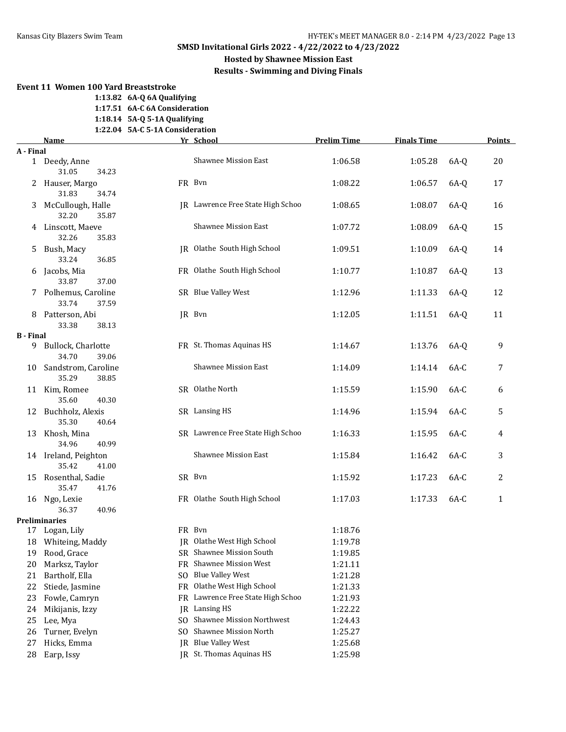### **Hosted by Shawnee Mission East**

**Results - Swimming and Diving Finals**

#### **Event 11 Women 100 Yard Breaststroke**

**1:13.82 6A-Q 6A Qualifying**

**1:17.51 6A-C 6A Consideration**

**1:18.14 5A-Q 5-1A Qualifying**

**1:22.04 5A-C 5-1A Consideration**

|                  | <b>Name</b>                              |     | Yr School                         | <b>Prelim Time</b> | <b>Finals Time</b> |        | <b>Points</b> |
|------------------|------------------------------------------|-----|-----------------------------------|--------------------|--------------------|--------|---------------|
| A - Final        |                                          |     |                                   |                    |                    |        |               |
|                  | 1 Deedy, Anne<br>31.05<br>34.23          |     | <b>Shawnee Mission East</b>       | 1:06.58            | 1:05.28            | $6A-Q$ | 20            |
|                  | 2 Hauser, Margo<br>31.83<br>34.74        |     | FR Bvn                            | 1:08.22            | 1:06.57            | $6A-Q$ | 17            |
| 3                | McCullough, Halle<br>32.20<br>35.87      |     | JR Lawrence Free State High Schoo | 1:08.65            | 1:08.07            | $6A-Q$ | 16            |
|                  | 4 Linscott, Maeve<br>32.26<br>35.83      |     | Shawnee Mission East              | 1:07.72            | 1:08.09            | $6A-Q$ | 15            |
| 5.               | Bush, Macy<br>33.24<br>36.85             |     | JR Olathe South High School       | 1:09.51            | 1:10.09            | $6A-Q$ | 14            |
|                  | 6 Jacobs, Mia<br>33.87<br>37.00          |     | FR Olathe South High School       | 1:10.77            | 1:10.87            | $6A-Q$ | 13            |
|                  | 7 Polhemus, Caroline<br>33.74<br>37.59   |     | SR Blue Valley West               | 1:12.96            | 1:11.33            | $6A-Q$ | 12            |
|                  | 8 Patterson, Abi<br>33.38<br>38.13       |     | JR Bvn                            | 1:12.05            | 1:11.51            | $6A-Q$ | 11            |
| <b>B</b> - Final |                                          |     |                                   |                    |                    |        |               |
|                  | 9 Bullock, Charlotte<br>34.70<br>39.06   |     | FR St. Thomas Aquinas HS          | 1:14.67            | 1:13.76            | $6A-Q$ | 9             |
|                  | 10 Sandstrom, Caroline<br>35.29<br>38.85 |     | Shawnee Mission East              | 1:14.09            | 1:14.14            | $6A-C$ | 7             |
|                  | 11 Kim, Romee<br>35.60<br>40.30          |     | SR Olathe North                   | 1:15.59            | 1:15.90            | $6A-C$ | 6             |
|                  | 12 Buchholz, Alexis<br>35.30<br>40.64    |     | SR Lansing HS                     | 1:14.96            | 1:15.94            | 6A-C   | 5             |
| 13               | Khosh, Mina<br>34.96<br>40.99            |     | SR Lawrence Free State High Schoo | 1:16.33            | 1:15.95            | $6A-C$ | 4             |
|                  | 14 Ireland, Peighton<br>35.42<br>41.00   |     | Shawnee Mission East              | 1:15.84            | 1:16.42            | $6A-C$ | 3             |
| 15               | Rosenthal, Sadie<br>35.47<br>41.76       |     | SR Bvn                            | 1:15.92            | 1:17.23            | $6A-C$ | 2             |
|                  | 16 Ngo, Lexie<br>36.37<br>40.96          |     | FR Olathe South High School       | 1:17.03            | 1:17.33            | $6A-C$ | $\mathbf{1}$  |
|                  | Preliminaries                            |     |                                   |                    |                    |        |               |
|                  | 17 Logan, Lily                           |     | FR Bvn                            | 1:18.76            |                    |        |               |
|                  | 18 Whiteing, Maddy                       |     | JR Olathe West High School        | 1:19.78            |                    |        |               |
|                  | 19 Rood, Grace                           |     | SR Shawnee Mission South          | 1:19.85            |                    |        |               |
| 20               | Marksz, Taylor                           |     | FR Shawnee Mission West           | 1:21.11            |                    |        |               |
| 21               | Bartholf, Ella                           |     | SO Blue Valley West               | 1:21.28            |                    |        |               |
| 22               | Stiede, Jasmine                          |     | FR Olathe West High School        | 1:21.33            |                    |        |               |
| 23               | Fowle, Camryn                            |     | FR Lawrence Free State High Schoo | 1:21.93            |                    |        |               |
| 24               | Mikijanis, Izzy                          | IR  | Lansing HS                        | 1:22.22            |                    |        |               |
| 25               | Lee, Mya                                 | SO. | Shawnee Mission Northwest         | 1:24.43            |                    |        |               |
| 26               | Turner, Evelyn                           | SO. | Shawnee Mission North             | 1:25.27            |                    |        |               |
| 27               | Hicks, Emma                              |     | JR Blue Valley West               | 1:25.68            |                    |        |               |
| 28               | Earp, Issy                               |     | JR St. Thomas Aquinas HS          | 1:25.98            |                    |        |               |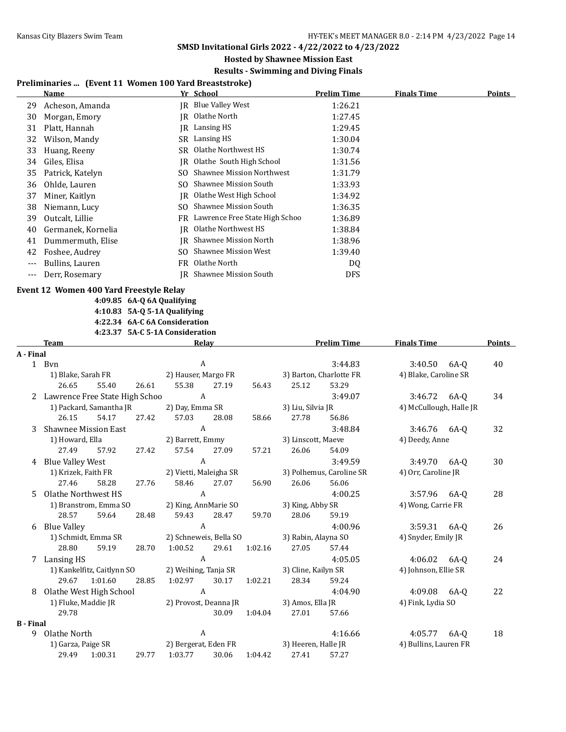### **Hosted by Shawnee Mission East**

# **Results - Swimming and Diving Finals**

### **Preliminaries ... (Event 11 Women 100 Yard Breaststroke)**

|     | <b>Name</b>        |     | Yr School                         | Prelim Time | <b>Finals Time</b> | <b>Points</b> |
|-----|--------------------|-----|-----------------------------------|-------------|--------------------|---------------|
| 29  | Acheson, Amanda    | IR- | Blue Valley West                  | 1:26.21     |                    |               |
| 30  | Morgan, Emory      | IR  | Olathe North                      | 1:27.45     |                    |               |
| 31  | Platt, Hannah      | IR  | Lansing HS                        | 1:29.45     |                    |               |
| 32  | Wilson, Mandy      | SR  | Lansing HS                        | 1:30.04     |                    |               |
| 33  | Huang, Reeny       | SR. | Olathe Northwest HS               | 1:30.74     |                    |               |
| 34  | Giles, Elisa       | IR  | Olathe South High School          | 1:31.56     |                    |               |
| 35  | Patrick, Katelyn   | SO. | <b>Shawnee Mission Northwest</b>  | 1:31.79     |                    |               |
| 36  | Ohlde, Lauren      | SO. | Shawnee Mission South             | 1:33.93     |                    |               |
| 37  | Miner, Kaitlyn     | IR  | Olathe West High School           | 1:34.92     |                    |               |
| 38  | Niemann, Lucy      | SO. | <b>Shawnee Mission South</b>      | 1:36.35     |                    |               |
| 39  | Outcalt, Lillie    |     | FR Lawrence Free State High Schoo | 1:36.89     |                    |               |
| 40  | Germanek, Kornelia | IR  | Olathe Northwest HS               | 1:38.84     |                    |               |
| 41  | Dummermuth, Elise  | IR. | Shawnee Mission North             | 1:38.96     |                    |               |
| 42  | Foshee, Audrey     | SO. | <b>Shawnee Mission West</b>       | 1:39.40     |                    |               |
| --- | Bullins, Lauren    | FR  | Olathe North                      | DQ          |                    |               |
| --- | Derr, Rosemary     | IR. | <b>Shawnee Mission South</b>      | DFS         |                    |               |

### **Event 12 Women 400 Yard Freestyle Relay**

# **4:09.85 6A-Q 6A Qualifying**

**4:10.83 5A-Q 5-1A Qualifying 4:22.34 6A-C 6A Consideration**

**4:23.37 5A-C 5-1A Consideration**

| <b>Team</b>        |         |                                                                                                                                                                                                                                   |                                                                                                           |                                  |                                                                                                                                                                                                                                                                                                   |                                                                           |         | <b>Finals Time</b>                                                                                                                                                                                    |        | <b>Points</b>                                                                                                                                                                                                                                   |
|--------------------|---------|-----------------------------------------------------------------------------------------------------------------------------------------------------------------------------------------------------------------------------------|-----------------------------------------------------------------------------------------------------------|----------------------------------|---------------------------------------------------------------------------------------------------------------------------------------------------------------------------------------------------------------------------------------------------------------------------------------------------|---------------------------------------------------------------------------|---------|-------------------------------------------------------------------------------------------------------------------------------------------------------------------------------------------------------|--------|-------------------------------------------------------------------------------------------------------------------------------------------------------------------------------------------------------------------------------------------------|
| A - Final          |         |                                                                                                                                                                                                                                   |                                                                                                           |                                  |                                                                                                                                                                                                                                                                                                   |                                                                           |         |                                                                                                                                                                                                       |        |                                                                                                                                                                                                                                                 |
| 1 Byn              |         |                                                                                                                                                                                                                                   |                                                                                                           |                                  |                                                                                                                                                                                                                                                                                                   |                                                                           | 3:44.83 | 3:40.50                                                                                                                                                                                               |        | 40                                                                                                                                                                                                                                              |
|                    |         |                                                                                                                                                                                                                                   |                                                                                                           |                                  |                                                                                                                                                                                                                                                                                                   |                                                                           |         |                                                                                                                                                                                                       |        |                                                                                                                                                                                                                                                 |
| 26.65              | 55.40   | 26.61                                                                                                                                                                                                                             | 55.38                                                                                                     | 27.19                            | 56.43                                                                                                                                                                                                                                                                                             | 25.12                                                                     | 53.29   |                                                                                                                                                                                                       |        |                                                                                                                                                                                                                                                 |
|                    |         |                                                                                                                                                                                                                                   |                                                                                                           |                                  |                                                                                                                                                                                                                                                                                                   |                                                                           | 3:49.07 |                                                                                                                                                                                                       |        | 34                                                                                                                                                                                                                                              |
|                    |         |                                                                                                                                                                                                                                   |                                                                                                           |                                  |                                                                                                                                                                                                                                                                                                   |                                                                           |         |                                                                                                                                                                                                       |        |                                                                                                                                                                                                                                                 |
| 26.15              | 54.17   | 27.42                                                                                                                                                                                                                             | 57.03                                                                                                     | 28.08                            | 58.66                                                                                                                                                                                                                                                                                             | 27.78                                                                     | 56.86   |                                                                                                                                                                                                       |        |                                                                                                                                                                                                                                                 |
|                    |         |                                                                                                                                                                                                                                   |                                                                                                           |                                  |                                                                                                                                                                                                                                                                                                   |                                                                           | 3:48.84 | 3:46.76                                                                                                                                                                                               |        | 32                                                                                                                                                                                                                                              |
|                    |         |                                                                                                                                                                                                                                   |                                                                                                           |                                  |                                                                                                                                                                                                                                                                                                   |                                                                           |         |                                                                                                                                                                                                       |        |                                                                                                                                                                                                                                                 |
| 27.49              | 57.92   | 27.42                                                                                                                                                                                                                             | 57.54                                                                                                     | 27.09                            | 57.21                                                                                                                                                                                                                                                                                             | 26.06                                                                     | 54.09   |                                                                                                                                                                                                       |        |                                                                                                                                                                                                                                                 |
|                    |         |                                                                                                                                                                                                                                   |                                                                                                           |                                  |                                                                                                                                                                                                                                                                                                   |                                                                           | 3:49.59 | 3:49.70                                                                                                                                                                                               | 6A-0   | 30                                                                                                                                                                                                                                              |
|                    |         |                                                                                                                                                                                                                                   |                                                                                                           |                                  |                                                                                                                                                                                                                                                                                                   | 3) Polhemus, Caroline SR                                                  |         | 4) Orr, Caroline JR                                                                                                                                                                                   |        |                                                                                                                                                                                                                                                 |
| 27.46              | 58.28   | 27.76                                                                                                                                                                                                                             | 58.46                                                                                                     | 27.07                            | 56.90                                                                                                                                                                                                                                                                                             | 26.06                                                                     | 56.06   |                                                                                                                                                                                                       |        |                                                                                                                                                                                                                                                 |
|                    |         |                                                                                                                                                                                                                                   |                                                                                                           |                                  |                                                                                                                                                                                                                                                                                                   |                                                                           | 4:00.25 |                                                                                                                                                                                                       |        | 28                                                                                                                                                                                                                                              |
|                    |         |                                                                                                                                                                                                                                   |                                                                                                           |                                  |                                                                                                                                                                                                                                                                                                   |                                                                           |         |                                                                                                                                                                                                       |        |                                                                                                                                                                                                                                                 |
| 28.57              | 59.64   | 28.48                                                                                                                                                                                                                             | 59.43                                                                                                     | 28.47                            | 59.70                                                                                                                                                                                                                                                                                             | 28.06                                                                     | 59.19   |                                                                                                                                                                                                       |        |                                                                                                                                                                                                                                                 |
| <b>Blue Valley</b> |         |                                                                                                                                                                                                                                   |                                                                                                           |                                  |                                                                                                                                                                                                                                                                                                   |                                                                           | 4:00.96 | 3:59.31                                                                                                                                                                                               | 6A-0   | 26                                                                                                                                                                                                                                              |
|                    |         |                                                                                                                                                                                                                                   |                                                                                                           |                                  |                                                                                                                                                                                                                                                                                                   |                                                                           |         |                                                                                                                                                                                                       |        |                                                                                                                                                                                                                                                 |
| 28.80              | 59.19   | 28.70                                                                                                                                                                                                                             | 1:00.52                                                                                                   | 29.61                            | 1:02.16                                                                                                                                                                                                                                                                                           | 27.05                                                                     | 57.44   |                                                                                                                                                                                                       |        |                                                                                                                                                                                                                                                 |
| Lansing HS         |         |                                                                                                                                                                                                                                   |                                                                                                           |                                  |                                                                                                                                                                                                                                                                                                   |                                                                           | 4:05.05 | 4:06.02                                                                                                                                                                                               |        | 24                                                                                                                                                                                                                                              |
|                    |         |                                                                                                                                                                                                                                   |                                                                                                           |                                  |                                                                                                                                                                                                                                                                                                   |                                                                           |         |                                                                                                                                                                                                       |        |                                                                                                                                                                                                                                                 |
| 29.67              | 1:01.60 | 28.85                                                                                                                                                                                                                             | 1:02.97                                                                                                   | 30.17                            | 1:02.21                                                                                                                                                                                                                                                                                           | 28.34                                                                     | 59.24   |                                                                                                                                                                                                       |        |                                                                                                                                                                                                                                                 |
|                    |         |                                                                                                                                                                                                                                   |                                                                                                           |                                  |                                                                                                                                                                                                                                                                                                   |                                                                           | 4:04.90 | 4:09.08                                                                                                                                                                                               | 6A-0   | 22                                                                                                                                                                                                                                              |
|                    |         |                                                                                                                                                                                                                                   |                                                                                                           |                                  |                                                                                                                                                                                                                                                                                                   |                                                                           |         |                                                                                                                                                                                                       |        |                                                                                                                                                                                                                                                 |
| 29.78              |         |                                                                                                                                                                                                                                   |                                                                                                           | 30.09                            | 1:04.04                                                                                                                                                                                                                                                                                           | 27.01                                                                     | 57.66   |                                                                                                                                                                                                       |        |                                                                                                                                                                                                                                                 |
| <b>B</b> - Final   |         |                                                                                                                                                                                                                                   |                                                                                                           |                                  |                                                                                                                                                                                                                                                                                                   |                                                                           |         |                                                                                                                                                                                                       |        |                                                                                                                                                                                                                                                 |
|                    |         |                                                                                                                                                                                                                                   |                                                                                                           |                                  |                                                                                                                                                                                                                                                                                                   |                                                                           | 4:16.66 | 4:05.77                                                                                                                                                                                               | $6A-Q$ | 18                                                                                                                                                                                                                                              |
|                    |         |                                                                                                                                                                                                                                   |                                                                                                           |                                  |                                                                                                                                                                                                                                                                                                   |                                                                           |         |                                                                                                                                                                                                       |        |                                                                                                                                                                                                                                                 |
| 29.49              | 1:00.31 | 29.77                                                                                                                                                                                                                             | 1:03.77                                                                                                   | 30.06                            | 1:04.42                                                                                                                                                                                                                                                                                           | 27.41                                                                     | 57.27   |                                                                                                                                                                                                       |        |                                                                                                                                                                                                                                                 |
|                    |         | 1) Blake, Sarah FR<br><b>Shawnee Mission East</b><br>1) Howard, Ella<br><b>Blue Valley West</b><br>1) Krizek, Faith FR<br>Olathe Northwest HS<br>1) Schmidt, Emma SR<br>1) Fluke, Maddie JR<br>Olathe North<br>1) Garza, Paige SR | 1) Packard, Samantha JR<br>1) Branstrom, Emma SO<br>1) Kankelfitz, Caitlynn SO<br>Olathe West High School | 2 Lawrence Free State High Schoo | Relay<br>$\mathbf{A}$<br>2) Hauser, Margo FR<br>$\mathbf{A}$<br>2) Day, Emma SR<br>$\overline{A}$<br>2) Barrett, Emmy<br>$\mathbf{A}$<br>$\overline{A}$<br>2) King, AnnMarie SO<br>$\overline{A}$<br>$\mathbf{A}$<br>2) Weihing, Tanja SR<br>$\mathbf{A}$<br>$\mathbf{A}$<br>2) Bergerat, Eden FR | 2) Vietti, Maleigha SR<br>2) Schneweis, Bella SO<br>2) Provost, Deanna JR |         | <b>Prelim Time</b><br>3) Barton, Charlotte FR<br>3) Liu, Silvia JR<br>3) Linscott, Maeve<br>3) King, Abby SR<br>3) Rabin, Alayna SO<br>3) Cline, Kailyn SR<br>3) Amos, Ella JR<br>3) Heeren, Halle JR |        | 6A-0<br>4) Blake, Caroline SR<br>$3:46.72$ 6A-0<br>4) McCullough, Halle JR<br>6A-0<br>4) Deedy, Anne<br>3:57.96 6A-Q<br>4) Wong, Carrie FR<br>4) Snyder, Emily JR<br>6A-0<br>4) Johnson, Ellie SR<br>4) Fink, Lydia SO<br>4) Bullins, Lauren FR |